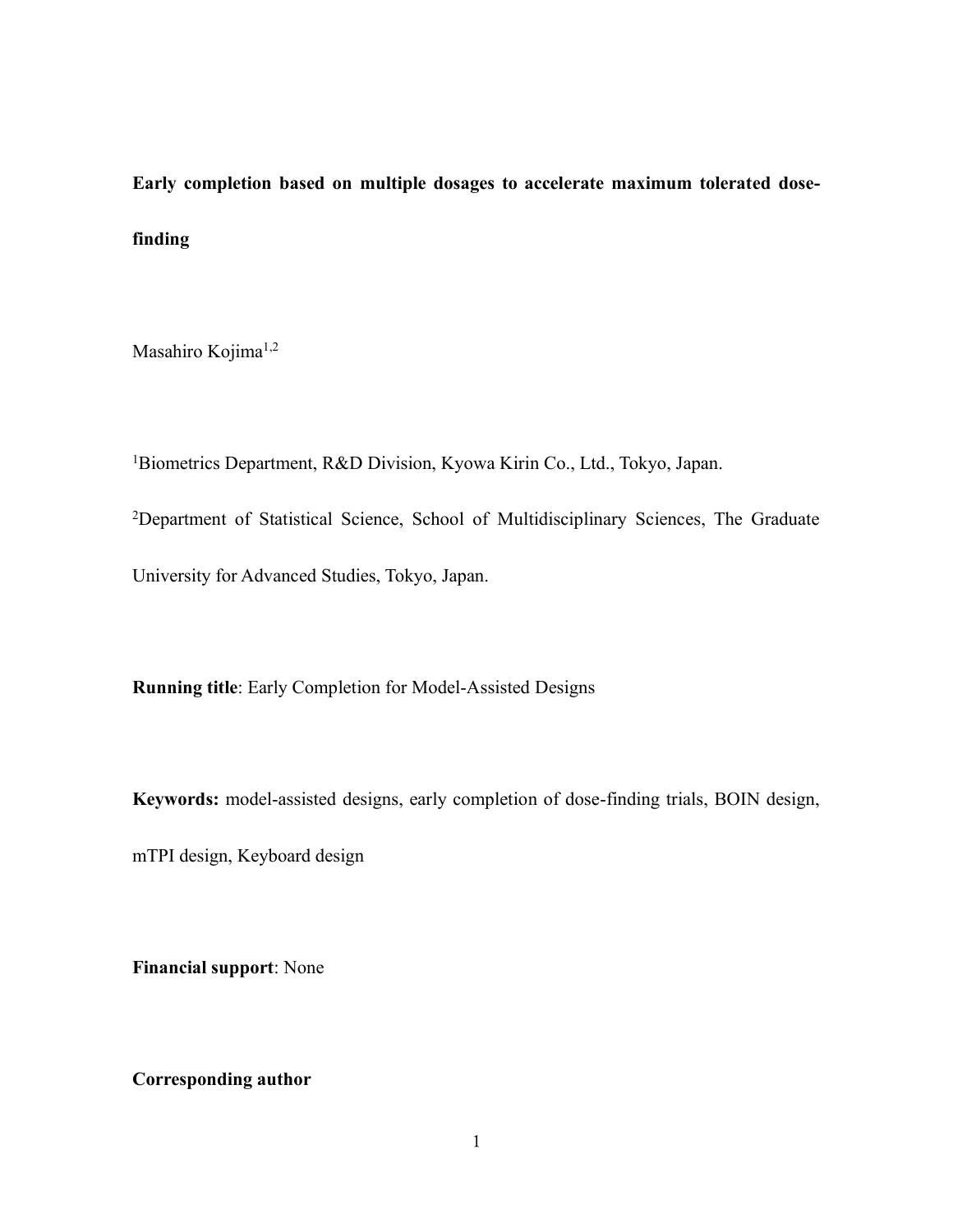**Early completion based on multiple dosages to accelerate maximum tolerated dosefinding**

Masahiro Kojima<sup>1,2</sup>

<sup>1</sup>Biometrics Department, R&D Division, Kyowa Kirin Co., Ltd., Tokyo, Japan.

<sup>2</sup>Department of Statistical Science, School of Multidisciplinary Sciences, The Graduate

University for Advanced Studies, Tokyo, Japan.

**Running title**: Early Completion for Model-Assisted Designs

**Keywords:** model-assisted designs, early completion of dose-finding trials, BOIN design,

mTPI design, Keyboard design

**Financial support**: None

# **Corresponding author**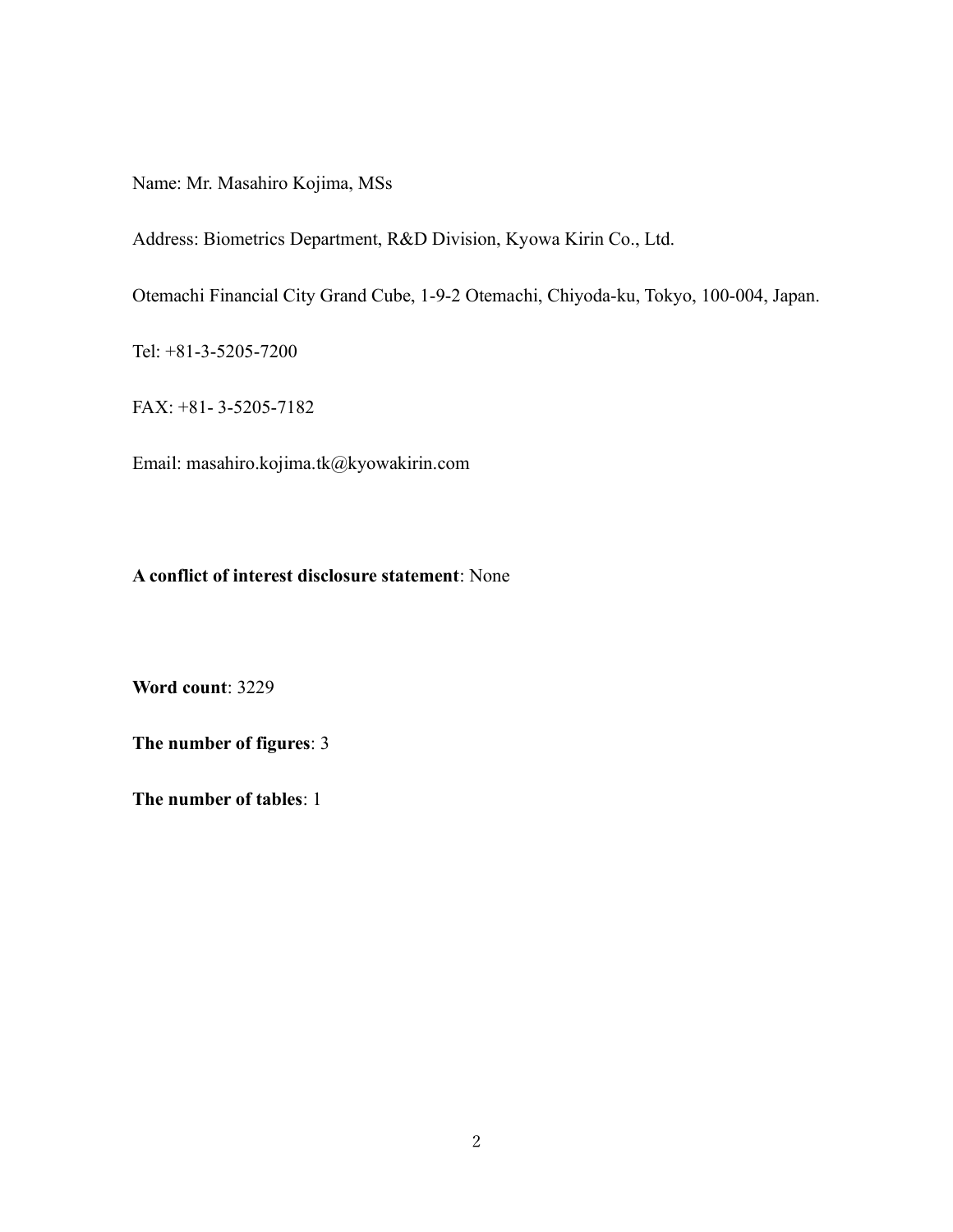Name: Mr. Masahiro Kojima, MSs

Address: Biometrics Department, R&D Division, Kyowa Kirin Co., Ltd.

Otemachi Financial City Grand Cube, 1-9-2 Otemachi, Chiyoda-ku, Tokyo, 100-004, Japan.

Tel: +81-3-5205-7200

FAX: +81- 3-5205-7182

Email: masahiro.kojima.tk@kyowakirin.com

### **A conflict of interest disclosure statement**: None

**Word count**: 3229

**The number of figures**: 3

**The number of tables**: 1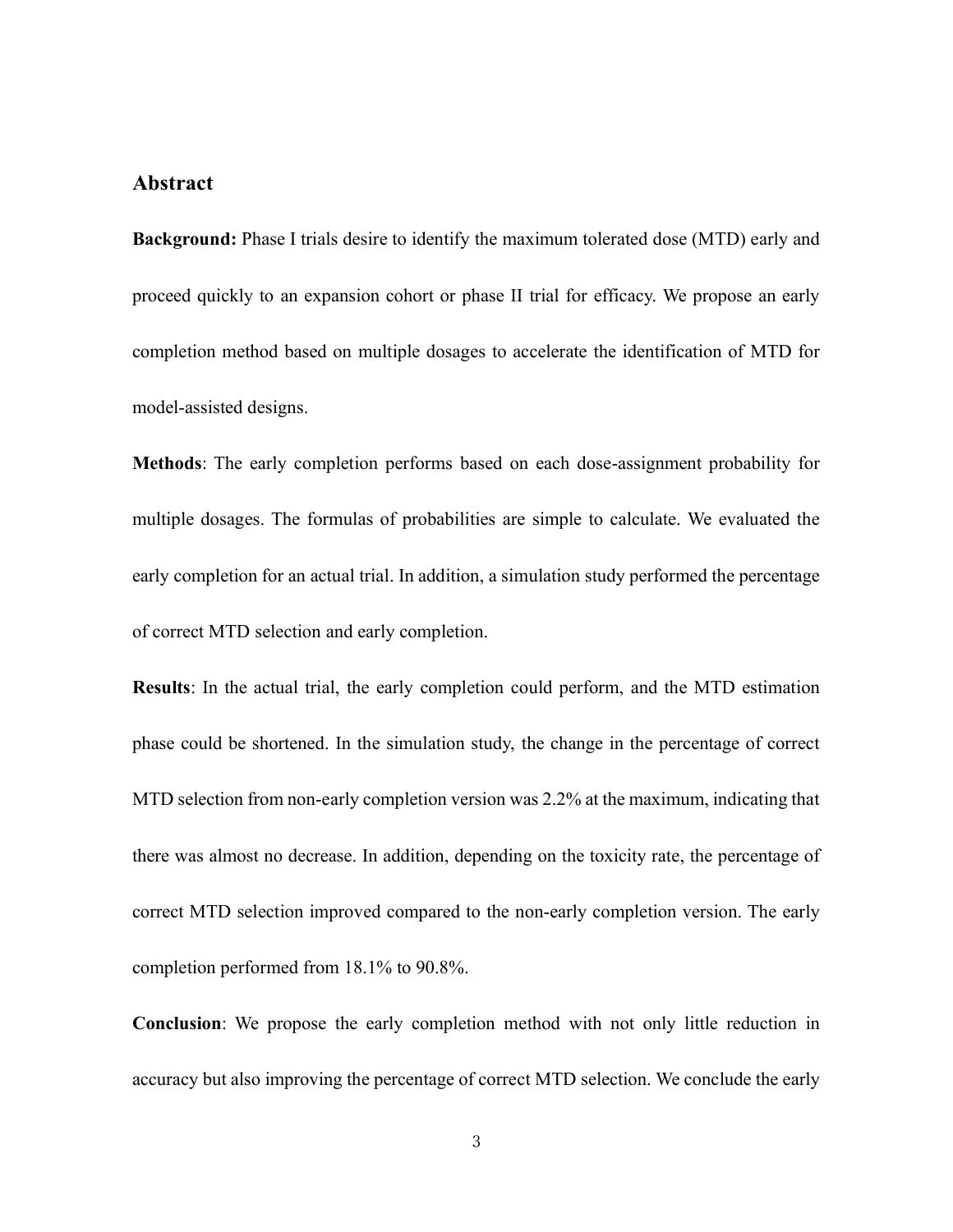## **Abstract**

**Background:** Phase I trials desire to identify the maximum tolerated dose (MTD) early and proceed quickly to an expansion cohort or phase II trial for efficacy. We propose an early completion method based on multiple dosages to accelerate the identification of MTD for model-assisted designs.

**Methods**: The early completion performs based on each dose-assignment probability for multiple dosages. The formulas of probabilities are simple to calculate. We evaluated the early completion for an actual trial. In addition, a simulation study performed the percentage of correct MTD selection and early completion.

**Results**: In the actual trial, the early completion could perform, and the MTD estimation phase could be shortened. In the simulation study, the change in the percentage of correct MTD selection from non-early completion version was 2.2% at the maximum, indicating that there was almost no decrease. In addition, depending on the toxicity rate, the percentage of correct MTD selection improved compared to the non-early completion version. The early completion performed from 18.1% to 90.8%.

**Conclusion**: We propose the early completion method with not only little reduction in accuracy but also improving the percentage of correct MTD selection. We conclude the early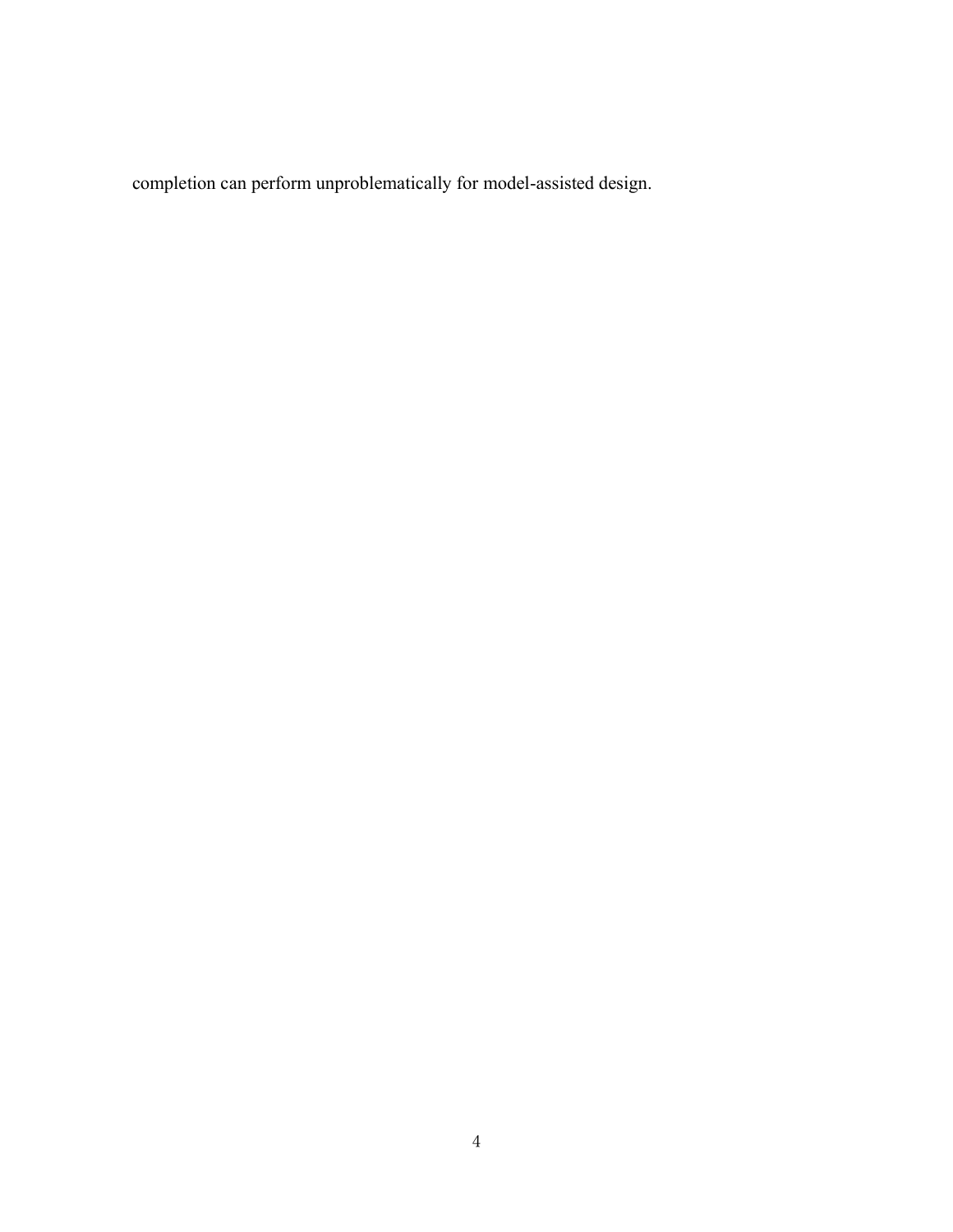completion can perform unproblematically for model-assisted design.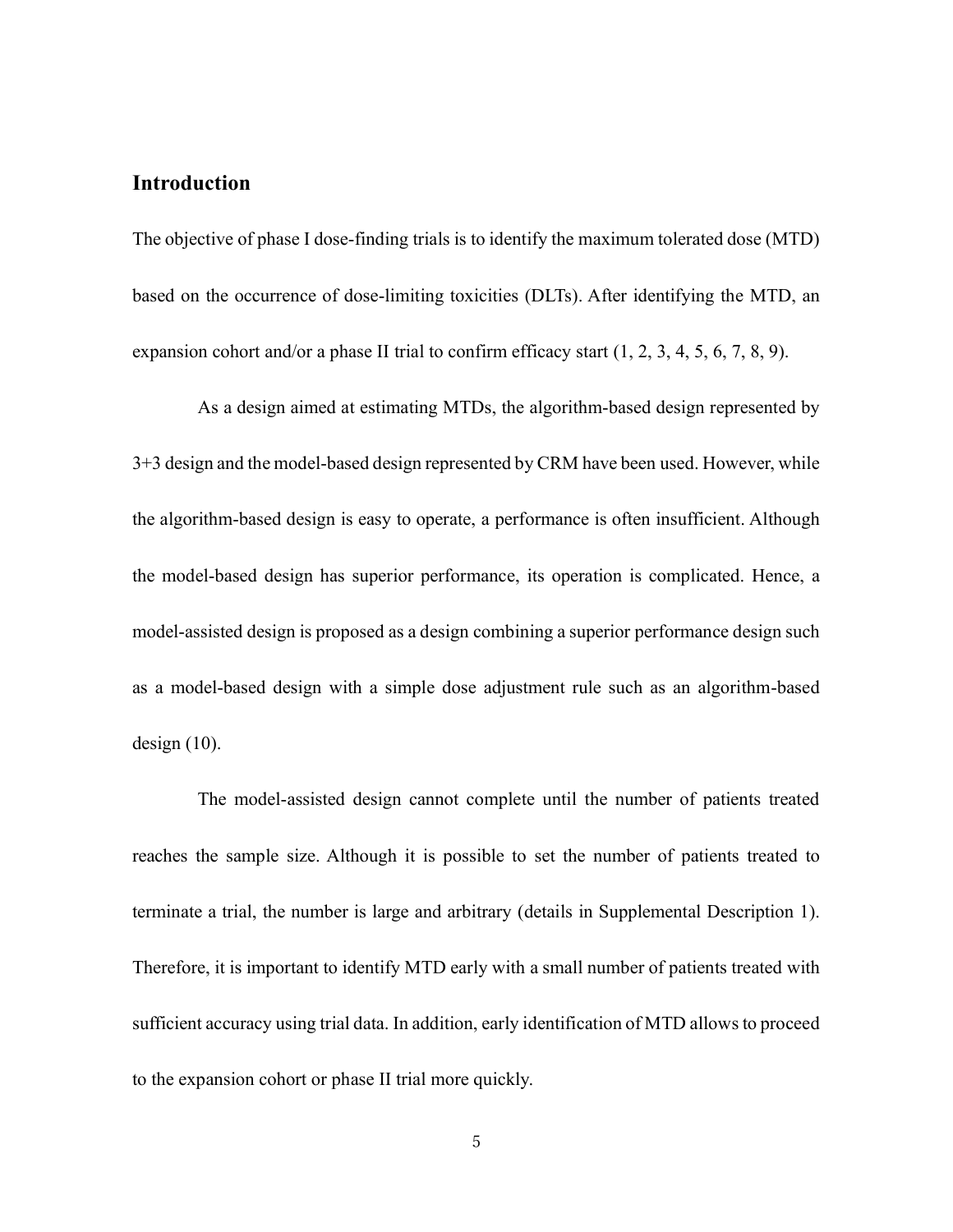## **Introduction**

The objective of phase I dose-finding trials is to identify the maximum tolerated dose (MTD) based on the occurrence of dose-limiting toxicities (DLTs). After identifying the MTD, an expansion cohort and/or a phase II trial to confirm efficacy start [\(1,](#page-22-0) [2,](#page-22-1) [3,](#page-22-2) [4,](#page-22-3) [5,](#page-22-4) [6,](#page-23-0) [7,](#page-23-1) [8,](#page-23-2) [9\)](#page-23-3).

As a design aimed at estimating MTDs, the algorithm-based design represented by 3+3 design and the model-based design represented by CRM have been used. However, while the algorithm-based design is easy to operate, a performance is often insufficient. Although the model-based design has superior performance, its operation is complicated. Hence, a model-assisted design is proposed as a design combining a superior performance design such as a model-based design with a simple dose adjustment rule such as an algorithm-based design [\(10\)](#page-23-4).

The model-assisted design cannot complete until the number of patients treated reaches the sample size. Although it is possible to set the number of patients treated to terminate a trial, the number is large and arbitrary (details in Supplemental Description 1). Therefore, it is important to identify MTD early with a small number of patients treated with sufficient accuracy using trial data. In addition, early identification of MTD allows to proceed to the expansion cohort or phase II trial more quickly.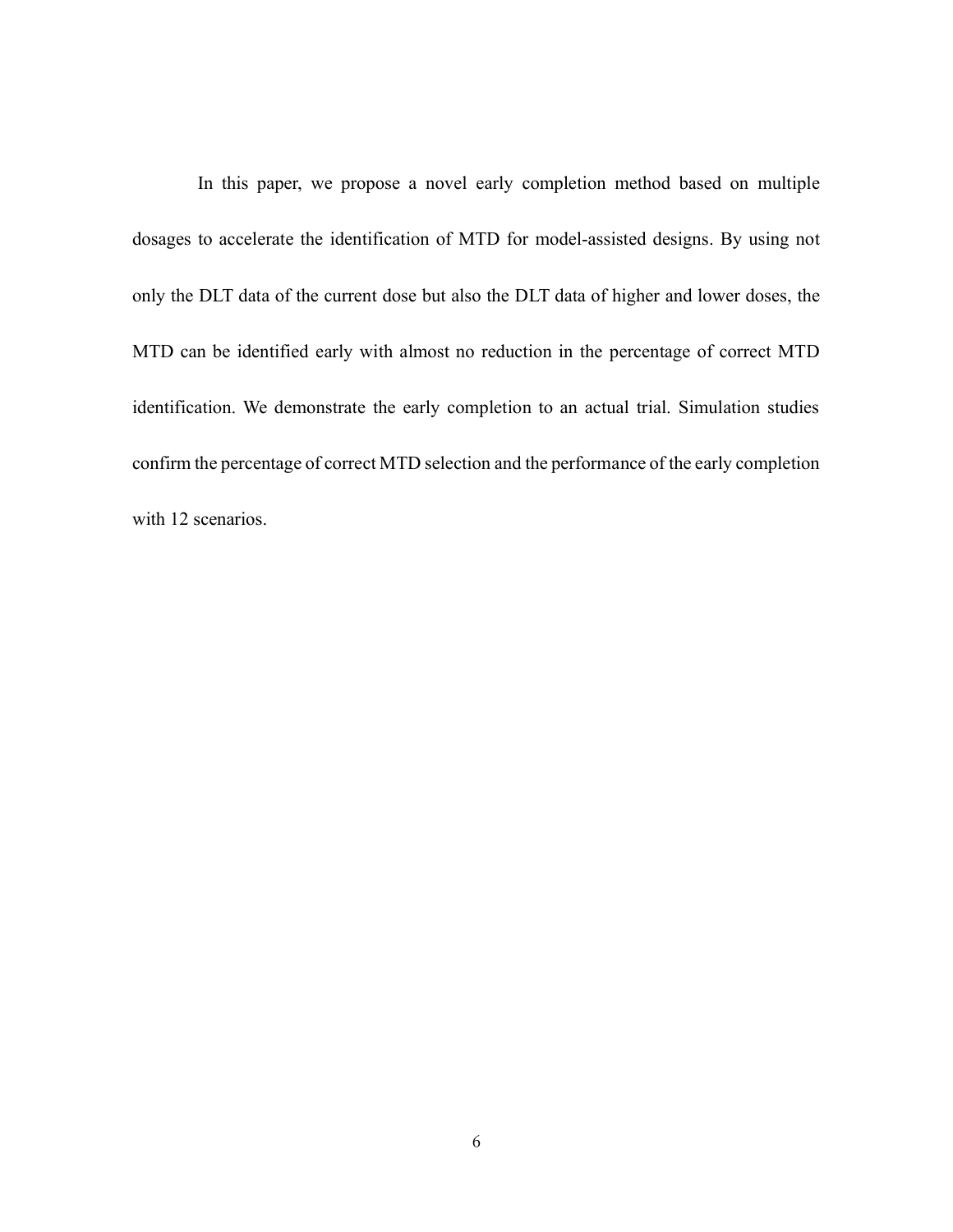In this paper, we propose a novel early completion method based on multiple dosages to accelerate the identification of MTD for model-assisted designs. By using not only the DLT data of the current dose but also the DLT data of higher and lower doses, the MTD can be identified early with almost no reduction in the percentage of correct MTD identification. We demonstrate the early completion to an actual trial. Simulation studies confirm the percentage of correct MTD selection and the performance of the early completion with 12 scenarios.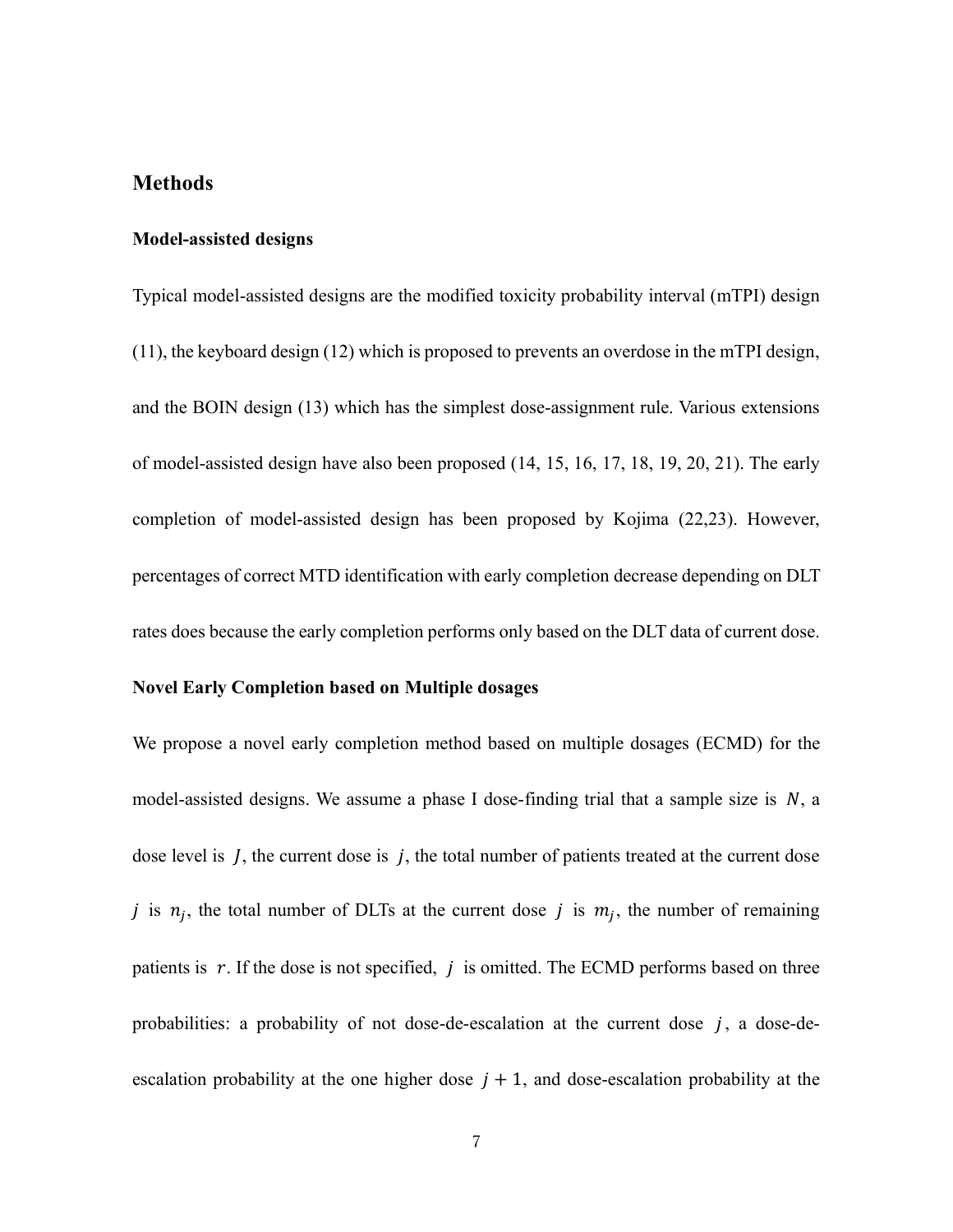## **Methods**

#### **Model-assisted designs**

Typical model-assisted designs are the modified toxicity probability interval (mTPI) design [\(11\)](#page-23-5), the keyboard design [\(12\)](#page-24-0) which is proposed to prevents an overdose in the mTPI design, and the BOIN design [\(13\)](#page-24-1) which has the simplest dose-assignment rule. Various extensions of model-assisted design have also been proposed [\(14,](#page-24-2) [15,](#page-24-3) [16,](#page-24-4) [17,](#page-24-5) [18,](#page-24-6) [19,](#page-25-0) [20,](#page-25-1) [21\)](#page-25-2). The early completion of model-assisted design has been proposed by Kojima [\(22,](#page-25-3)[23\)](#page-25-4). However, percentages of correct MTD identification with early completion decrease depending on DLT rates does because the early completion performs only based on the DLT data of current dose.

#### **Novel Early Completion based on Multiple dosages**

We propose a novel early completion method based on multiple dosages (ECMD) for the model-assisted designs. We assume a phase I dose-finding trial that a sample size is  $N$ , a dose level is  $\overline{I}$ , the current dose is  $\overline{I}$ , the total number of patients treated at the current dose j is  $n_j$ , the total number of DLTs at the current dose j is  $m_j$ , the number of remaining patients is  $r$ . If the dose is not specified,  $j$  is omitted. The ECMD performs based on three probabilities: a probability of not dose-de-escalation at the current dose  $j$ , a dose-deescalation probability at the one higher dose  $j + 1$ , and dose-escalation probability at the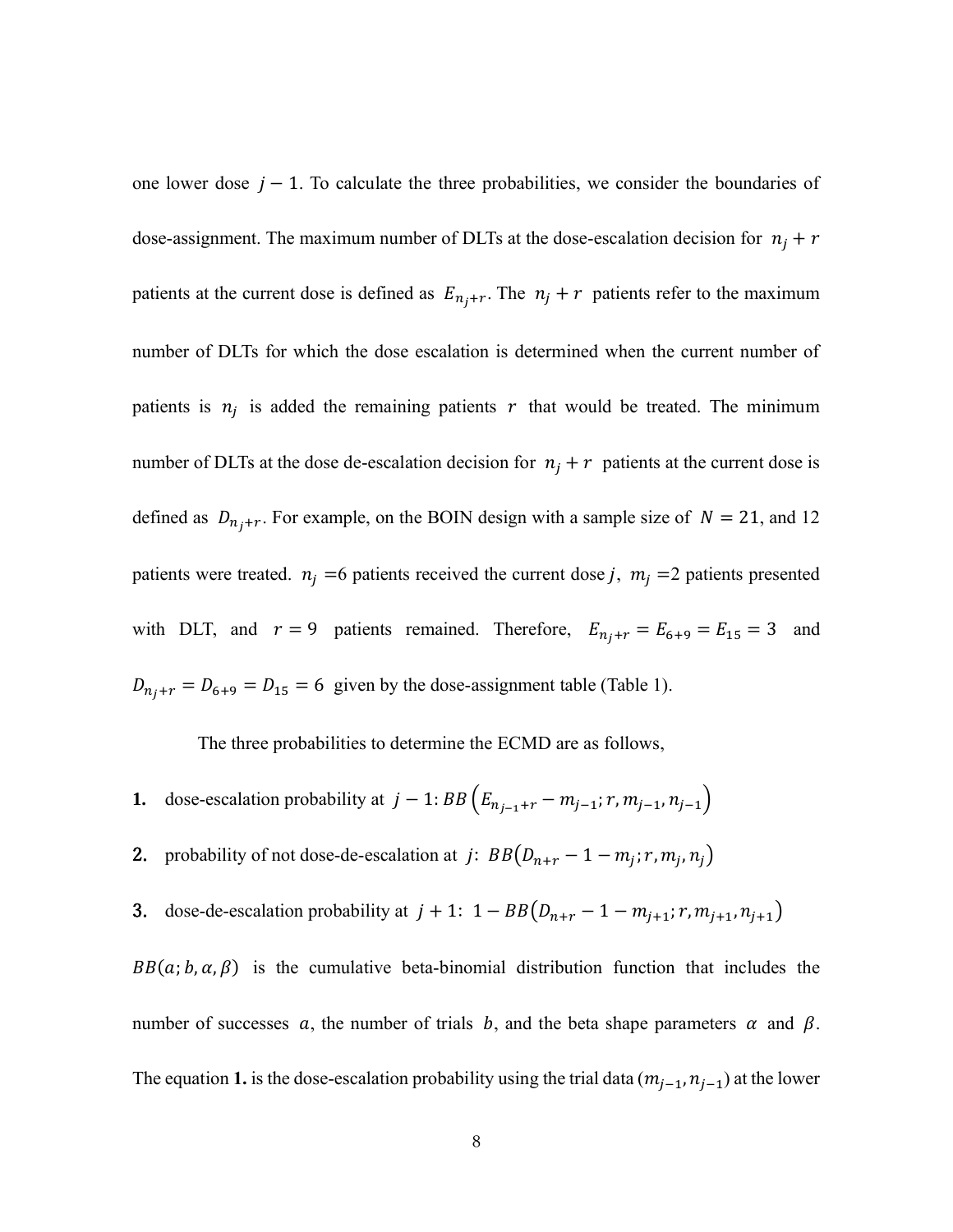one lower dose  $j - 1$ . To calculate the three probabilities, we consider the boundaries of dose-assignment. The maximum number of DLTs at the dose-escalation decision for  $n_i + r$ patients at the current dose is defined as  $E_{n_j+r}$ . The  $n_j + r$  patients refer to the maximum number of DLTs for which the dose escalation is determined when the current number of patients is  $n_j$  is added the remaining patients r that would be treated. The minimum number of DLTs at the dose de-escalation decision for  $n_i + r$  patients at the current dose is defined as  $D_{n_j+r}$ . For example, on the BOIN design with a sample size of  $N = 21$ , and 12 patients were treated.  $n_j = 6$  patients received the current dose j,  $m_j = 2$  patients presented with DLT, and  $r = 9$  patients remained. Therefore,  $E_{n_j+r} = E_{6+9} = E_{15} = 3$  and  $D_{n_j+r} = D_{6+9} = D_{15} = 6$  given by the dose-assignment table (Table 1).

The three probabilities to determine the ECMD are as follows,

- **1.** dose-escalation probability at  $j 1$ :  $BB(E_{n_{j-1}+r} m_{j-1}; r, m_{j-1}, n_{j-1})$
- 2. probability of not dose-de-escalation at  $j: BB(D_{n+r}-1-m_j; r, m_j, n_j)$
- 3. dose-de-escalation probability at  $j + 1$ :  $1 BB(D_{n+r} 1 m_{j+1}; r, m_{j+1}, n_{j+1})$

 $BB(a; b, \alpha, \beta)$  is the cumulative beta-binomial distribution function that includes the number of successes a, the number of trials b, and the beta shape parameters  $\alpha$  and  $\beta$ . The equation 1. is the dose-escalation probability using the trial data  $(m_{j-1}, n_{j-1})$  at the lower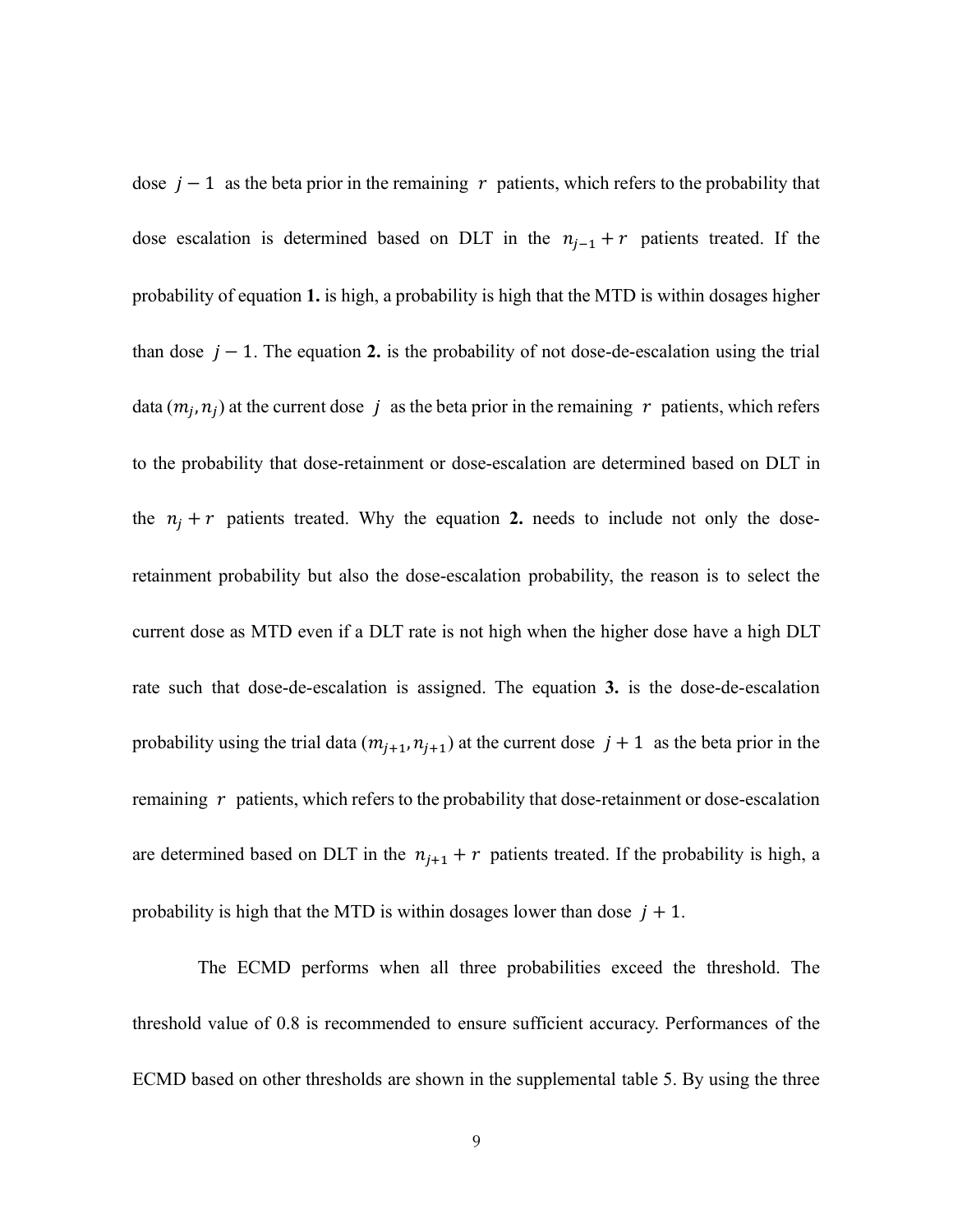dose  $j - 1$  as the beta prior in the remaining r patients, which refers to the probability that dose escalation is determined based on DLT in the  $n_{j-1} + r$  patients treated. If the probability of equation **1.** is high, a probability is high that the MTD is within dosages higher than dose  $j - 1$ . The equation 2, is the probability of not dose-de-escalation using the trial data  $(m_j, n_j)$  at the current dose j as the beta prior in the remaining r patients, which refers to the probability that dose-retainment or dose-escalation are determined based on DLT in the  $n_i + r$  patients treated. Why the equation 2. needs to include not only the doseretainment probability but also the dose-escalation probability, the reason is to select the current dose as MTD even if a DLT rate is not high when the higher dose have a high DLT rate such that dose-de-escalation is assigned. The equation **3.** is the dose-de-escalation probability using the trial data  $(m_{j+1}, n_{j+1})$  at the current dose  $j + 1$  as the beta prior in the remaining  $r$  patients, which refers to the probability that dose-retainment or dose-escalation are determined based on DLT in the  $n_{j+1} + r$  patients treated. If the probability is high, a probability is high that the MTD is within dosages lower than dose  $j + 1$ .

The ECMD performs when all three probabilities exceed the threshold. The threshold value of 0.8 is recommended to ensure sufficient accuracy. Performances of the ECMD based on other thresholds are shown in the supplemental table 5. By using the three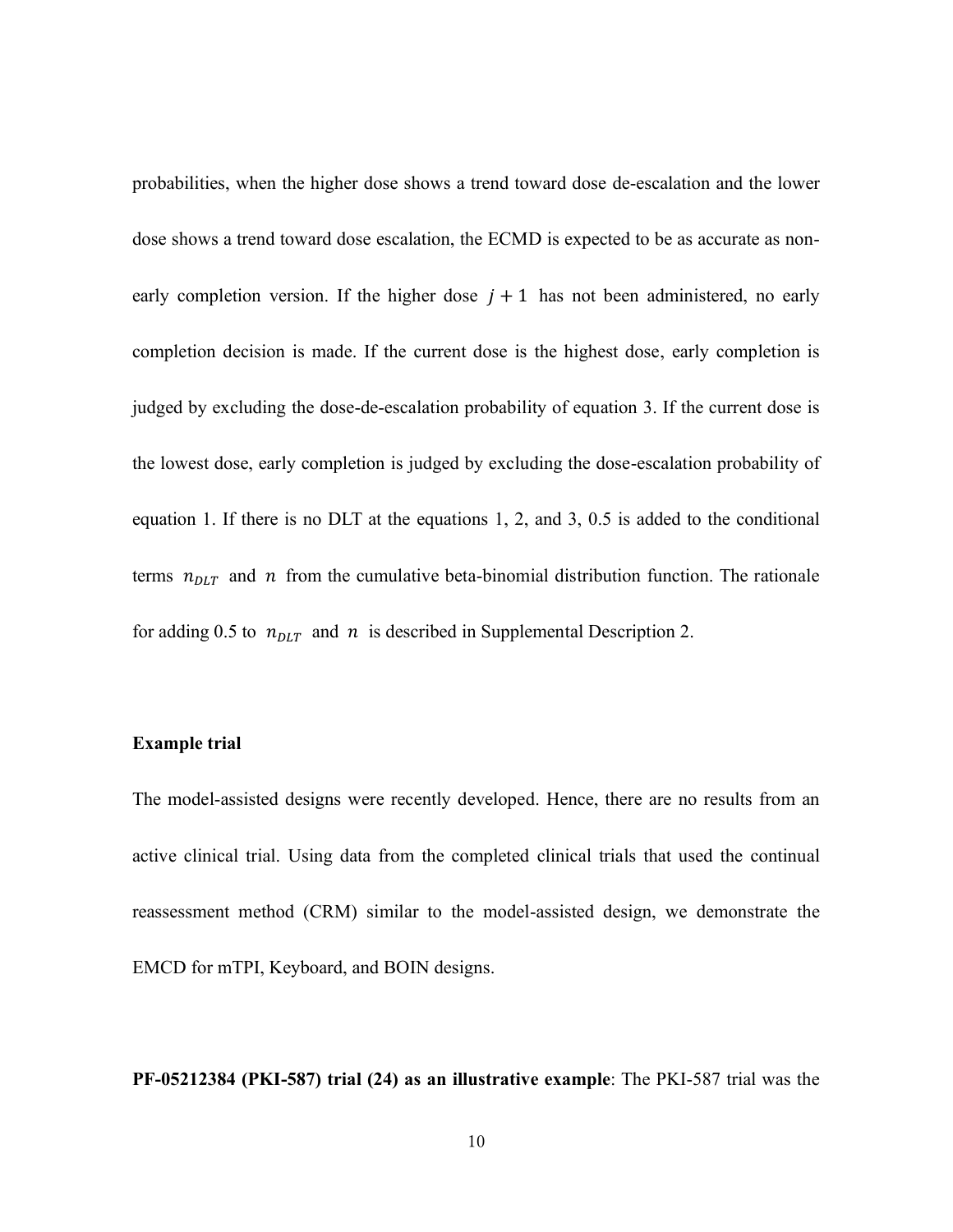probabilities, when the higher dose shows a trend toward dose de-escalation and the lower dose shows a trend toward dose escalation, the ECMD is expected to be as accurate as nonearly completion version. If the higher dose  $j + 1$  has not been administered, no early completion decision is made. If the current dose is the highest dose, early completion is judged by excluding the dose-de-escalation probability of equation 3. If the current dose is the lowest dose, early completion is judged by excluding the dose-escalation probability of equation 1. If there is no DLT at the equations 1, 2, and 3, 0.5 is added to the conditional terms  $n_{DLT}$  and n from the cumulative beta-binomial distribution function. The rationale for adding 0.5 to  $n_{DLT}$  and  $n$  is described in Supplemental Description 2.

#### **Example trial**

The model-assisted designs were recently developed. Hence, there are no results from an active clinical trial. Using data from the completed clinical trials that used the continual reassessment method (CRM) similar to the model-assisted design, we demonstrate the EMCD for mTPI, Keyboard, and BOIN designs.

**PF-05212384 (PKI-587) trial [\(24\)](#page-25-5) as an illustrative example**: The PKI-587 trial was the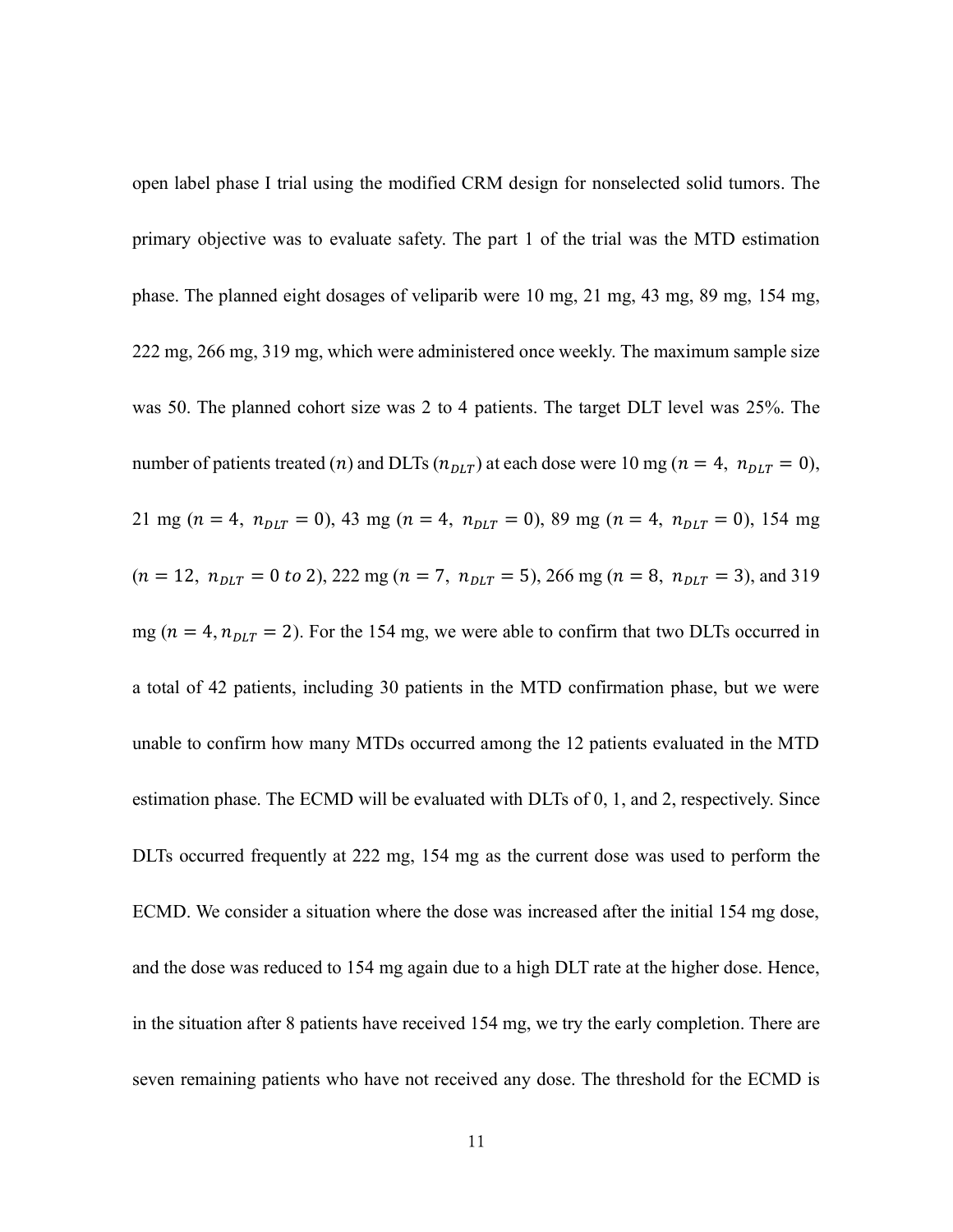open label phase I trial using the modified CRM design for nonselected solid tumors. The primary objective was to evaluate safety. The part 1 of the trial was the MTD estimation phase. The planned eight dosages of veliparib were 10 mg, 21 mg, 43 mg, 89 mg, 154 mg, 222 mg, 266 mg, 319 mg, which were administered once weekly. The maximum sample size was 50. The planned cohort size was 2 to 4 patients. The target DLT level was 25%. The number of patients treated (n) and DLTs ( $n_{DLT}$ ) at each dose were 10 mg ( $n = 4$ ,  $n_{DLT} = 0$ ), 21 mg ( $n = 4$ ,  $n_{DLT} = 0$ ), 43 mg ( $n = 4$ ,  $n_{DLT} = 0$ ), 89 mg ( $n = 4$ ,  $n_{DLT} = 0$ ), 154 mg  $(n = 12, n<sub>DLT</sub> = 0 to 2),$  222 mg  $(n = 7, n<sub>DLT</sub> = 5),$  266 mg  $(n = 8, n<sub>DLT</sub> = 3),$  and 319 mg ( $n = 4$ ,  $n_{DLT} = 2$ ). For the 154 mg, we were able to confirm that two DLTs occurred in a total of 42 patients, including 30 patients in the MTD confirmation phase, but we were unable to confirm how many MTDs occurred among the 12 patients evaluated in the MTD estimation phase. The ECMD will be evaluated with DLTs of 0, 1, and 2, respectively. Since DLTs occurred frequently at 222 mg, 154 mg as the current dose was used to perform the ECMD. We consider a situation where the dose was increased after the initial 154 mg dose, and the dose was reduced to 154 mg again due to a high DLT rate at the higher dose. Hence, in the situation after 8 patients have received 154 mg, we try the early completion. There are seven remaining patients who have not received any dose. The threshold for the ECMD is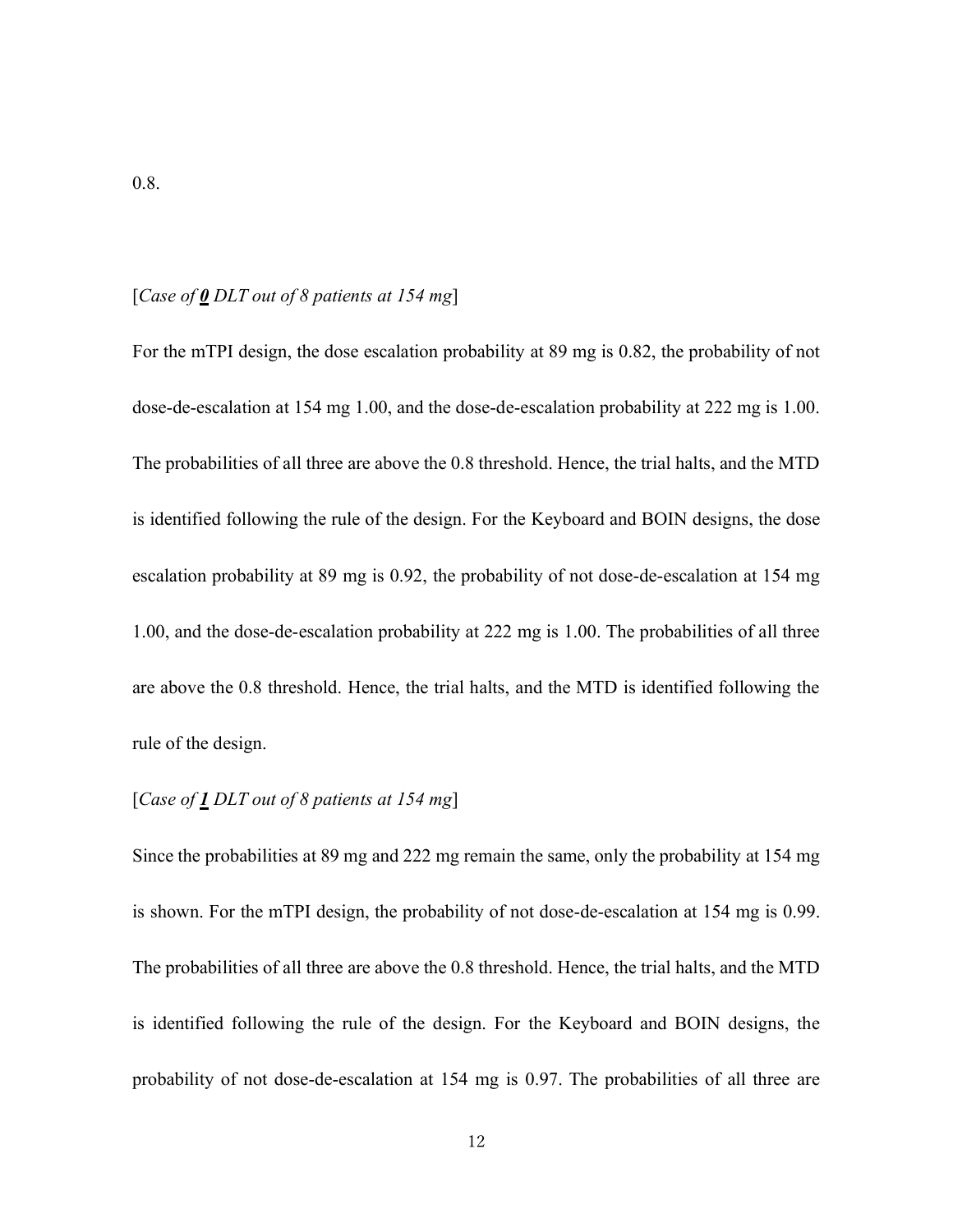#### [*Case of 0 DLT out of 8 patients at 154 mg*]

For the mTPI design, the dose escalation probability at 89 mg is 0.82, the probability of not dose-de-escalation at 154 mg 1.00, and the dose-de-escalation probability at 222 mg is 1.00. The probabilities of all three are above the 0.8 threshold. Hence, the trial halts, and the MTD is identified following the rule of the design. For the Keyboard and BOIN designs, the dose escalation probability at 89 mg is 0.92, the probability of not dose-de-escalation at 154 mg 1.00, and the dose-de-escalation probability at 222 mg is 1.00. The probabilities of all three are above the 0.8 threshold. Hence, the trial halts, and the MTD is identified following the rule of the design.

## [*Case of 1 DLT out of 8 patients at 154 mg*]

Since the probabilities at 89 mg and 222 mg remain the same, only the probability at 154 mg is shown. For the mTPI design, the probability of not dose-de-escalation at 154 mg is 0.99. The probabilities of all three are above the 0.8 threshold. Hence, the trial halts, and the MTD is identified following the rule of the design. For the Keyboard and BOIN designs, the probability of not dose-de-escalation at 154 mg is 0.97. The probabilities of all three are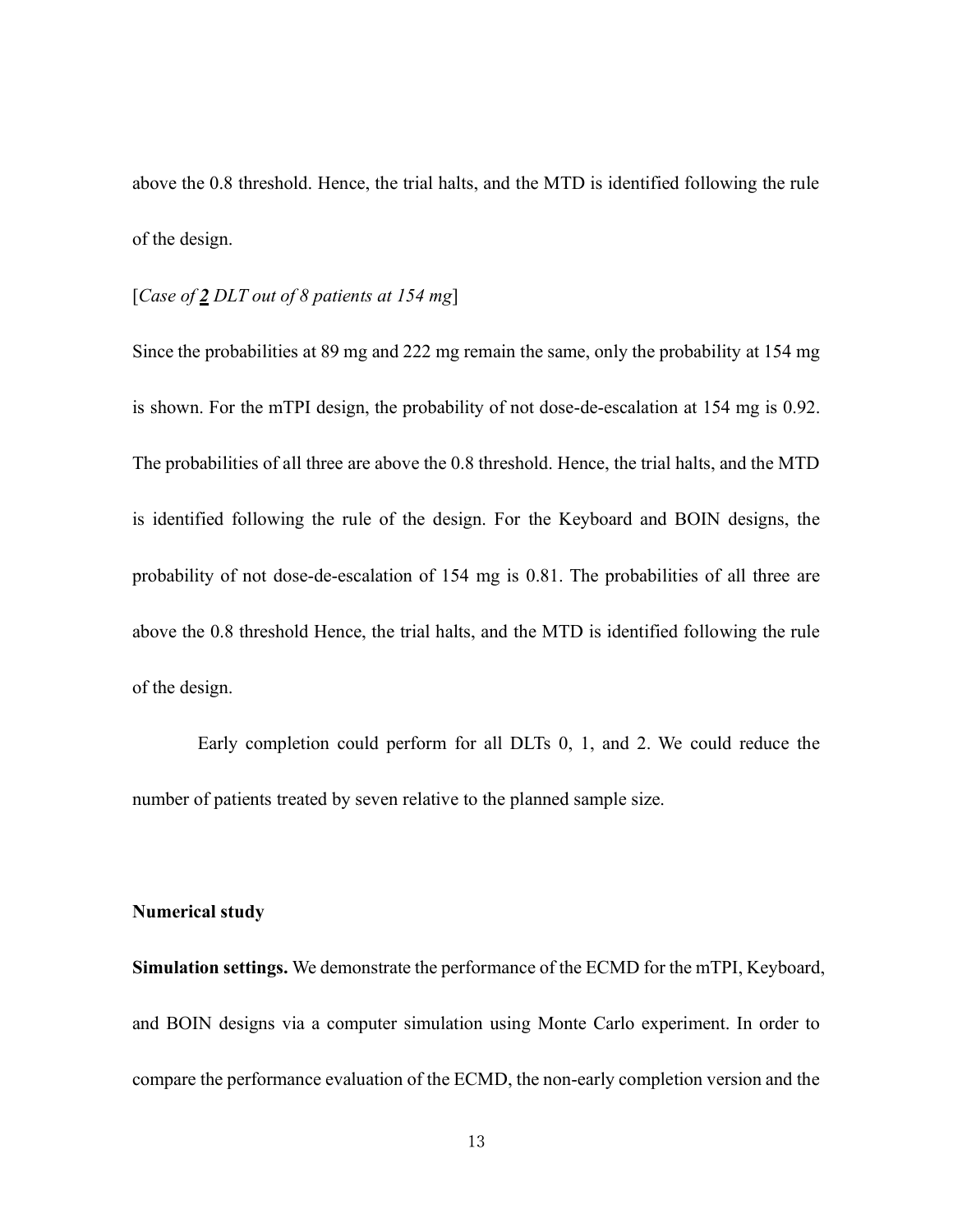above the 0.8 threshold. Hence, the trial halts, and the MTD is identified following the rule of the design.

### [*Case of 2 DLT out of 8 patients at 154 mg*]

Since the probabilities at 89 mg and 222 mg remain the same, only the probability at 154 mg is shown. For the mTPI design, the probability of not dose-de-escalation at 154 mg is 0.92. The probabilities of all three are above the 0.8 threshold. Hence, the trial halts, and the MTD is identified following the rule of the design. For the Keyboard and BOIN designs, the probability of not dose-de-escalation of 154 mg is 0.81. The probabilities of all three are above the 0.8 threshold Hence, the trial halts, and the MTD is identified following the rule of the design.

Early completion could perform for all DLTs 0, 1, and 2. We could reduce the number of patients treated by seven relative to the planned sample size.

#### **Numerical study**

**Simulation settings.** We demonstrate the performance of the ECMD for the mTPI, Keyboard, and BOIN designs via a computer simulation using Monte Carlo experiment. In order to compare the performance evaluation of the ECMD, the non-early completion version and the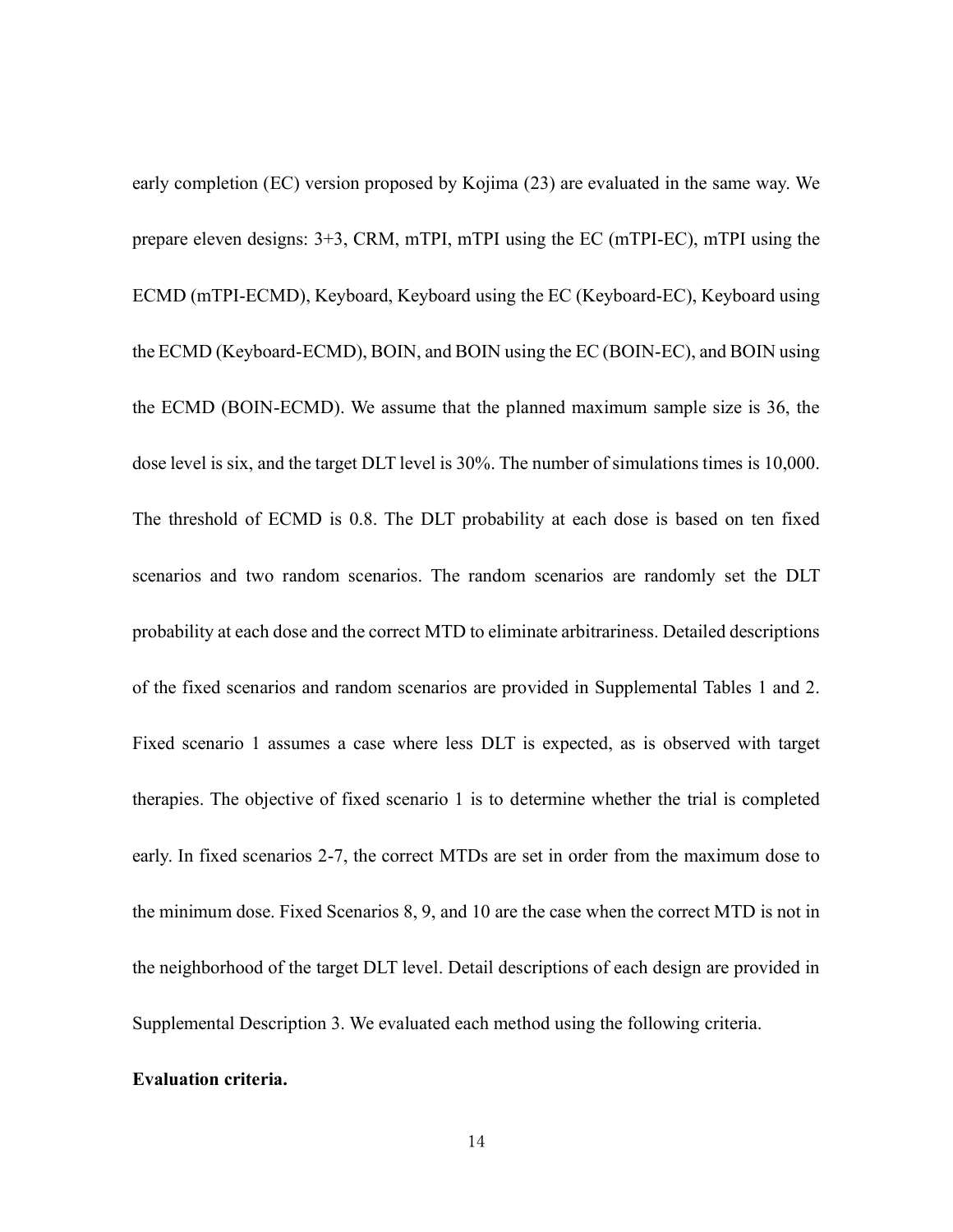early completion (EC) version proposed by Kojima [\(23\)](#page-25-4) are evaluated in the same way. We prepare eleven designs: 3+3, CRM, mTPI, mTPI using the EC (mTPI-EC), mTPI using the ECMD (mTPI-ECMD), Keyboard, Keyboard using the EC (Keyboard-EC), Keyboard using the ECMD (Keyboard-ECMD), BOIN, and BOIN using the EC (BOIN-EC), and BOIN using the ECMD (BOIN-ECMD). We assume that the planned maximum sample size is 36, the dose level is six, and the target DLT level is 30%. The number of simulations times is 10,000. The threshold of ECMD is 0.8. The DLT probability at each dose is based on ten fixed scenarios and two random scenarios. The random scenarios are randomly set the DLT probability at each dose and the correct MTD to eliminate arbitrariness. Detailed descriptions of the fixed scenarios and random scenarios are provided in Supplemental Tables 1 and 2. Fixed scenario 1 assumes a case where less DLT is expected, as is observed with target therapies. The objective of fixed scenario 1 is to determine whether the trial is completed early. In fixed scenarios 2-7, the correct MTDs are set in order from the maximum dose to the minimum dose. Fixed Scenarios 8, 9, and 10 are the case when the correct MTD is not in the neighborhood of the target DLT level. Detail descriptions of each design are provided in Supplemental Description 3. We evaluated each method using the following criteria.

#### **Evaluation criteria.**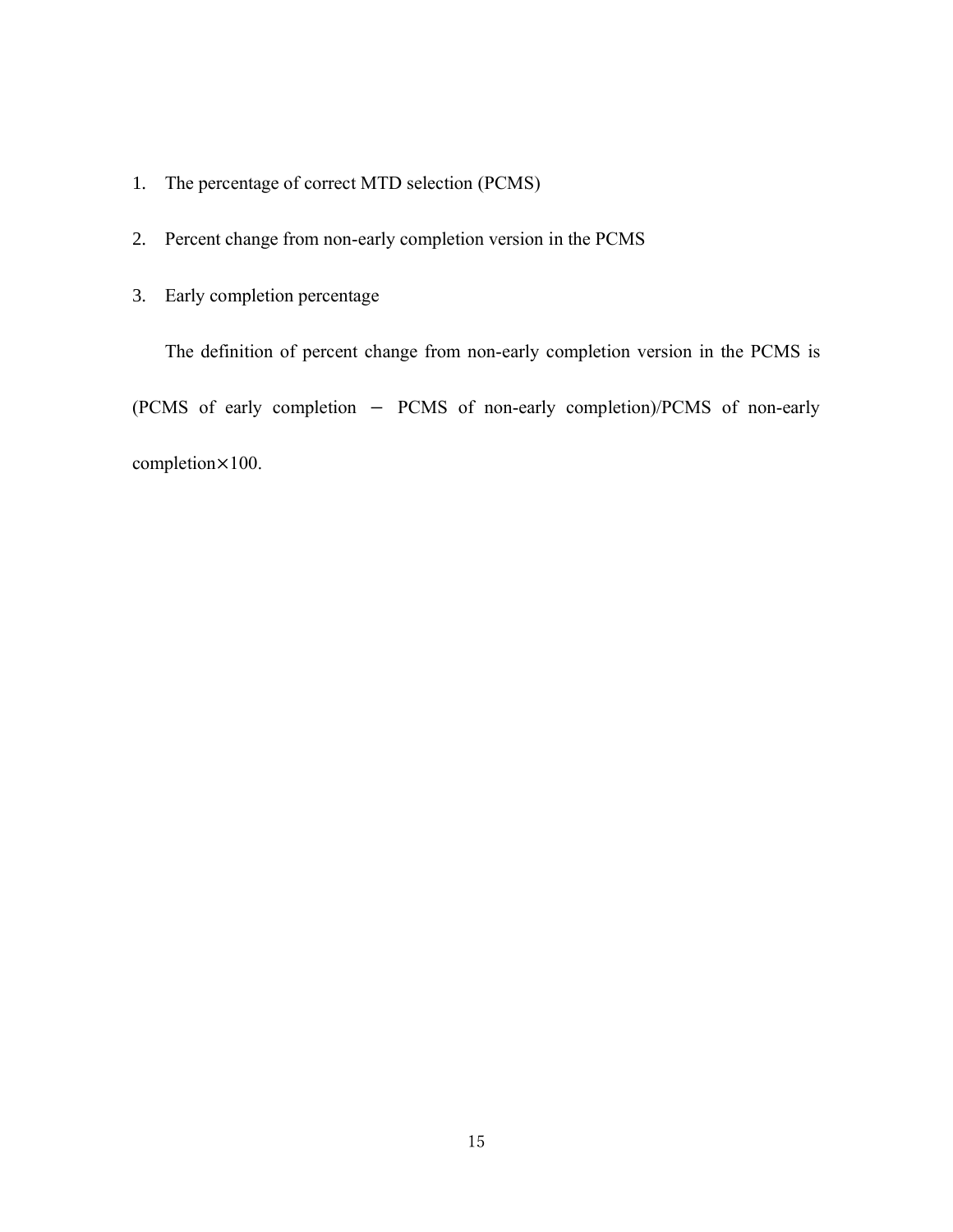- 1. The percentage of correct MTD selection (PCMS)
- 2. Percent change from non-early completion version in the PCMS
- 3. Early completion percentage

The definition of percent change from non-early completion version in the PCMS is (PCMS of early completion − PCMS of non-early completion)/PCMS of non-early completion×100.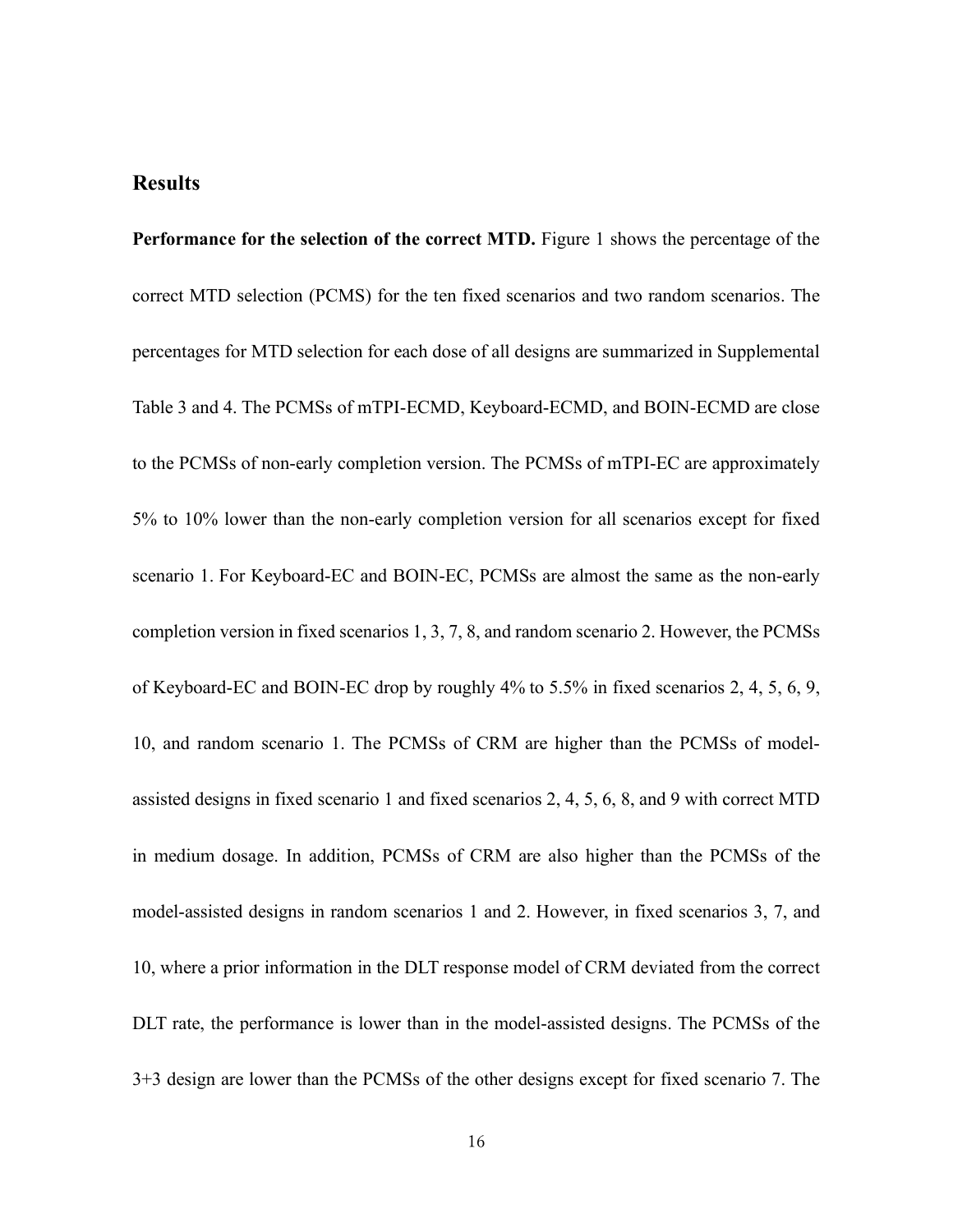### **Results**

**Performance for the selection of the correct MTD.** [Figure 1](#page-27-0) shows the percentage of the correct MTD selection (PCMS) for the ten fixed scenarios and two random scenarios. The percentages for MTD selection for each dose of all designs are summarized in Supplemental Table 3 and 4. The PCMSs of mTPI-ECMD, Keyboard-ECMD, and BOIN-ECMD are close to the PCMSs of non-early completion version. The PCMSs of mTPI-EC are approximately 5% to 10% lower than the non-early completion version for all scenarios except for fixed scenario 1. For Keyboard-EC and BOIN-EC, PCMSs are almost the same as the non-early completion version in fixed scenarios 1, 3, 7, 8, and random scenario 2. However, the PCMSs of Keyboard-EC and BOIN-EC drop by roughly 4% to 5.5% in fixed scenarios 2, 4, 5, 6, 9, 10, and random scenario 1. The PCMSs of CRM are higher than the PCMSs of modelassisted designs in fixed scenario 1 and fixed scenarios 2, 4, 5, 6, 8, and 9 with correct MTD in medium dosage. In addition, PCMSs of CRM are also higher than the PCMSs of the model-assisted designs in random scenarios 1 and 2. However, in fixed scenarios 3, 7, and 10, where a prior information in the DLT response model of CRM deviated from the correct DLT rate, the performance is lower than in the model-assisted designs. The PCMSs of the 3+3 design are lower than the PCMSs of the other designs except for fixed scenario 7. The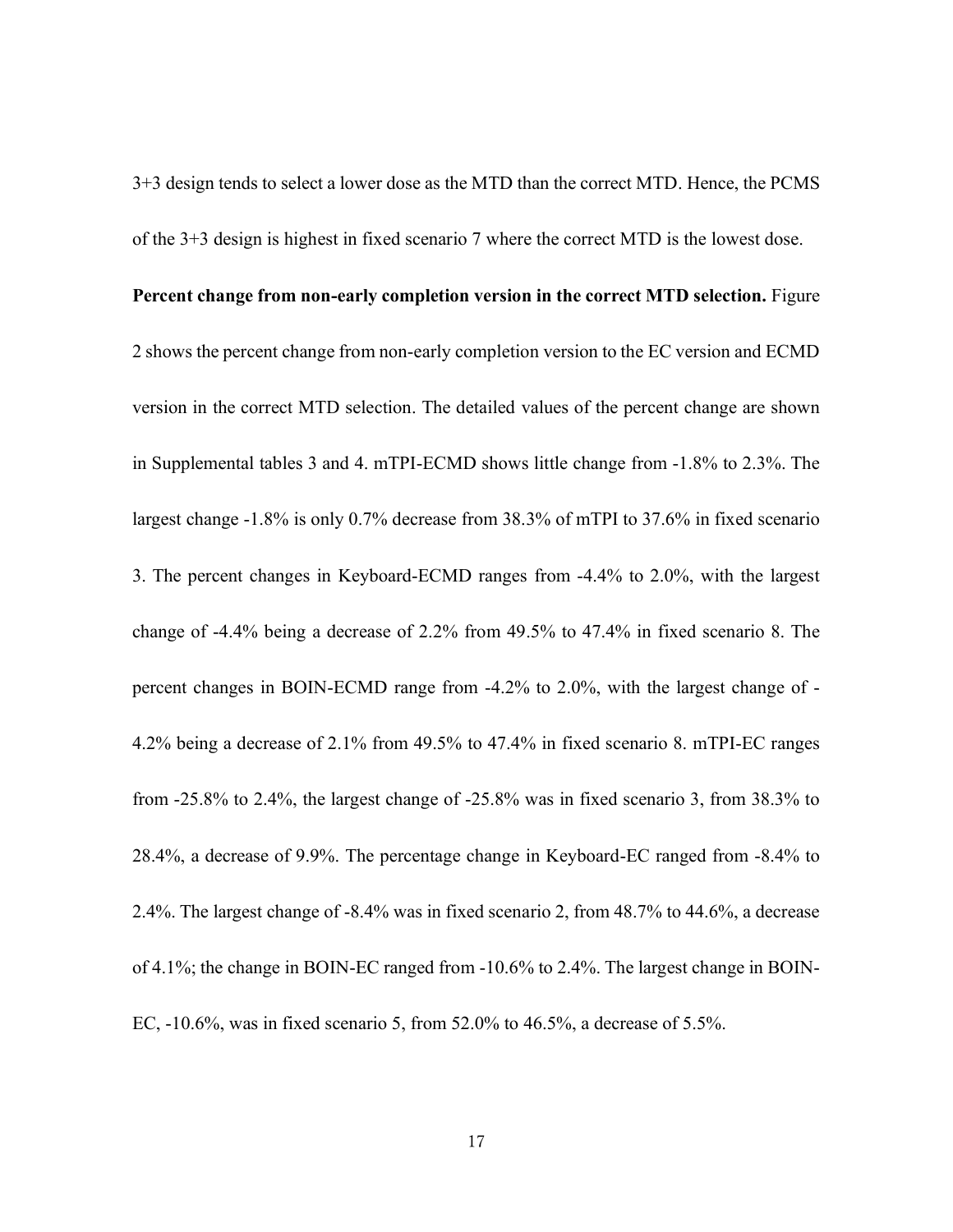3+3 design tends to select a lower dose as the MTD than the correct MTD. Hence, the PCMS of the 3+3 design is highest in fixed scenario 7 where the correct MTD is the lowest dose.

#### **Percent change from non-early completion version in the correct MTD selection.** [Figure](#page-31-0)

[2](#page-31-0) shows the percent change from non-early completion version to the EC version and ECMD version in the correct MTD selection. The detailed values of the percent change are shown in Supplemental tables 3 and 4. mTPI-ECMD shows little change from -1.8% to 2.3%. The largest change -1.8% is only 0.7% decrease from 38.3% of mTPI to 37.6% in fixed scenario 3. The percent changes in Keyboard-ECMD ranges from -4.4% to 2.0%, with the largest change of -4.4% being a decrease of 2.2% from 49.5% to 47.4% in fixed scenario 8. The percent changes in BOIN-ECMD range from -4.2% to 2.0%, with the largest change of - 4.2% being a decrease of 2.1% from 49.5% to 47.4% in fixed scenario 8. mTPI-EC ranges from -25.8% to 2.4%, the largest change of -25.8% was in fixed scenario 3, from 38.3% to 28.4%, a decrease of 9.9%. The percentage change in Keyboard-EC ranged from -8.4% to 2.4%. The largest change of -8.4% was in fixed scenario 2, from 48.7% to 44.6%, a decrease of 4.1%; the change in BOIN-EC ranged from -10.6% to 2.4%. The largest change in BOIN-EC, -10.6%, was in fixed scenario 5, from 52.0% to 46.5%, a decrease of 5.5%.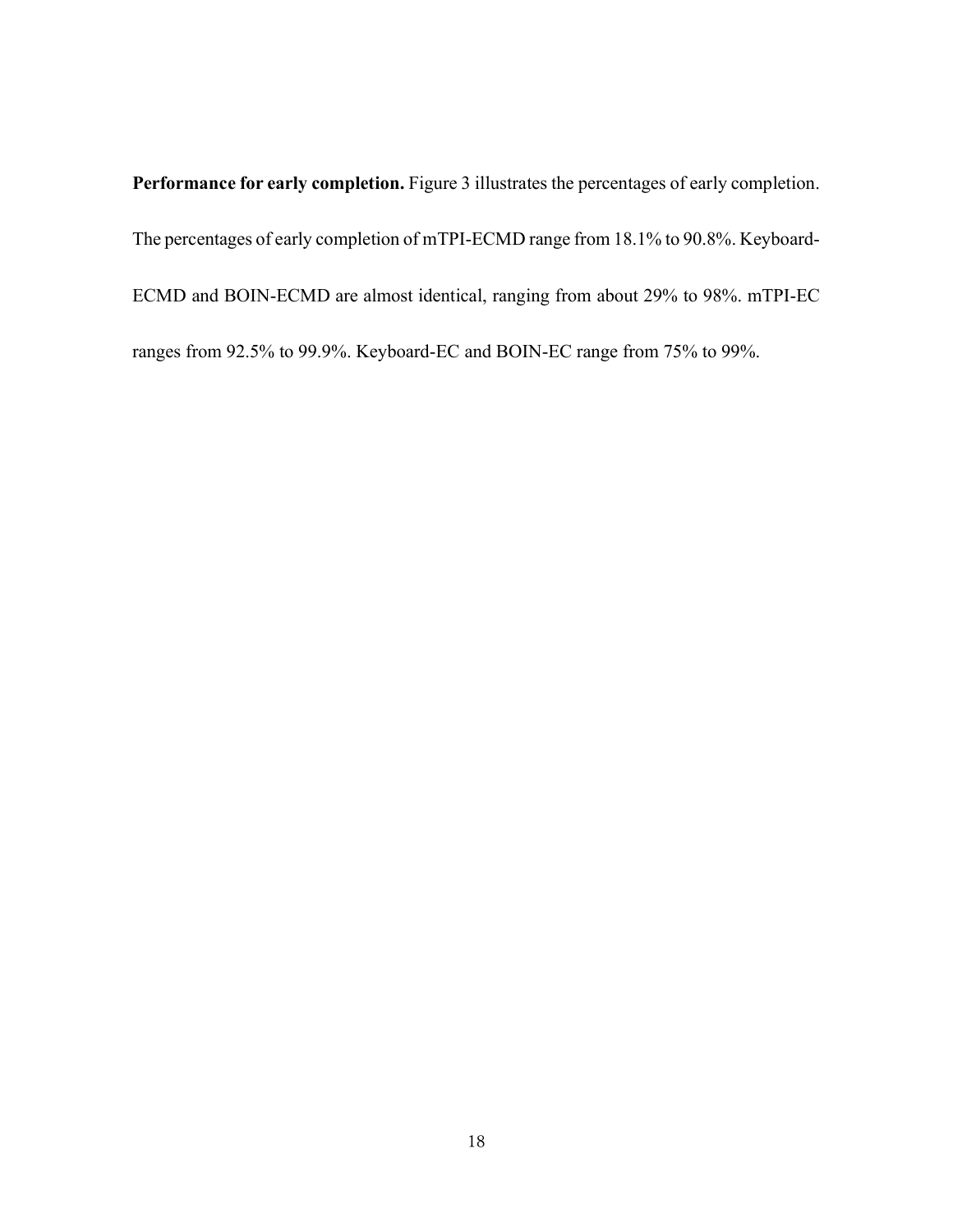**Performance for early completion.** [Figure 3](#page-32-0) illustrates the percentages of early completion. The percentages of early completion of mTPI-ECMD range from 18.1% to 90.8%. Keyboard-ECMD and BOIN-ECMD are almost identical, ranging from about 29% to 98%. mTPI-EC ranges from 92.5% to 99.9%. Keyboard-EC and BOIN-EC range from 75% to 99%.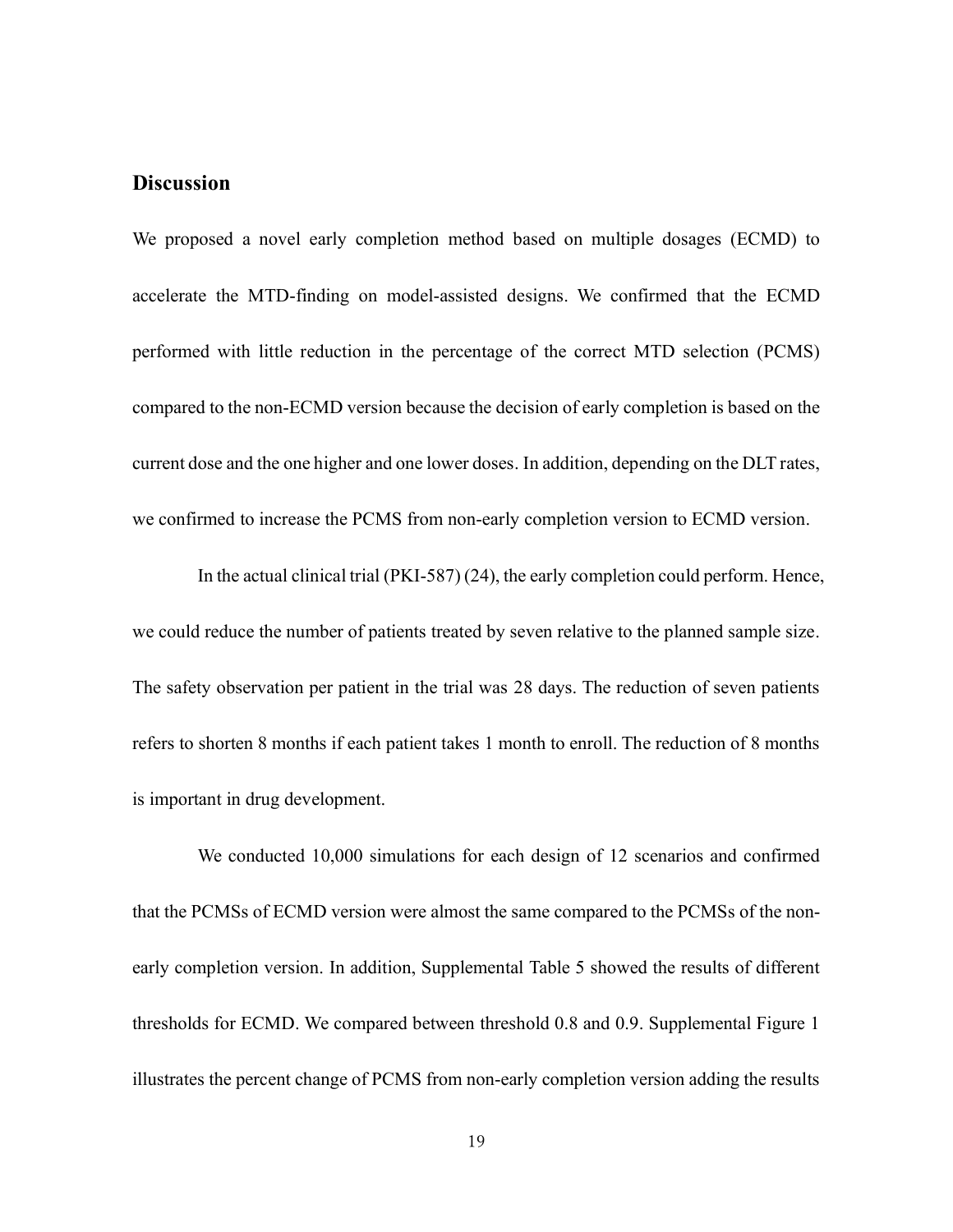## **Discussion**

We proposed a novel early completion method based on multiple dosages (ECMD) to accelerate the MTD-finding on model-assisted designs. We confirmed that the ECMD performed with little reduction in the percentage of the correct MTD selection (PCMS) compared to the non-ECMD version because the decision of early completion is based on the current dose and the one higher and one lower doses. In addition, depending on the DLT rates, we confirmed to increase the PCMS from non-early completion version to ECMD version.

In the actual clinical trial (PKI-587) [\(24\)](#page-25-5), the early completion could perform. Hence, we could reduce the number of patients treated by seven relative to the planned sample size. The safety observation per patient in the trial was 28 days. The reduction of seven patients refers to shorten 8 months if each patient takes 1 month to enroll. The reduction of 8 months is important in drug development.

We conducted 10,000 simulations for each design of 12 scenarios and confirmed that the PCMSs of ECMD version were almost the same compared to the PCMSs of the nonearly completion version. In addition, Supplemental Table 5 showed the results of different thresholds for ECMD. We compared between threshold 0.8 and 0.9. Supplemental Figure 1 illustrates the percent change of PCMS from non-early completion version adding the results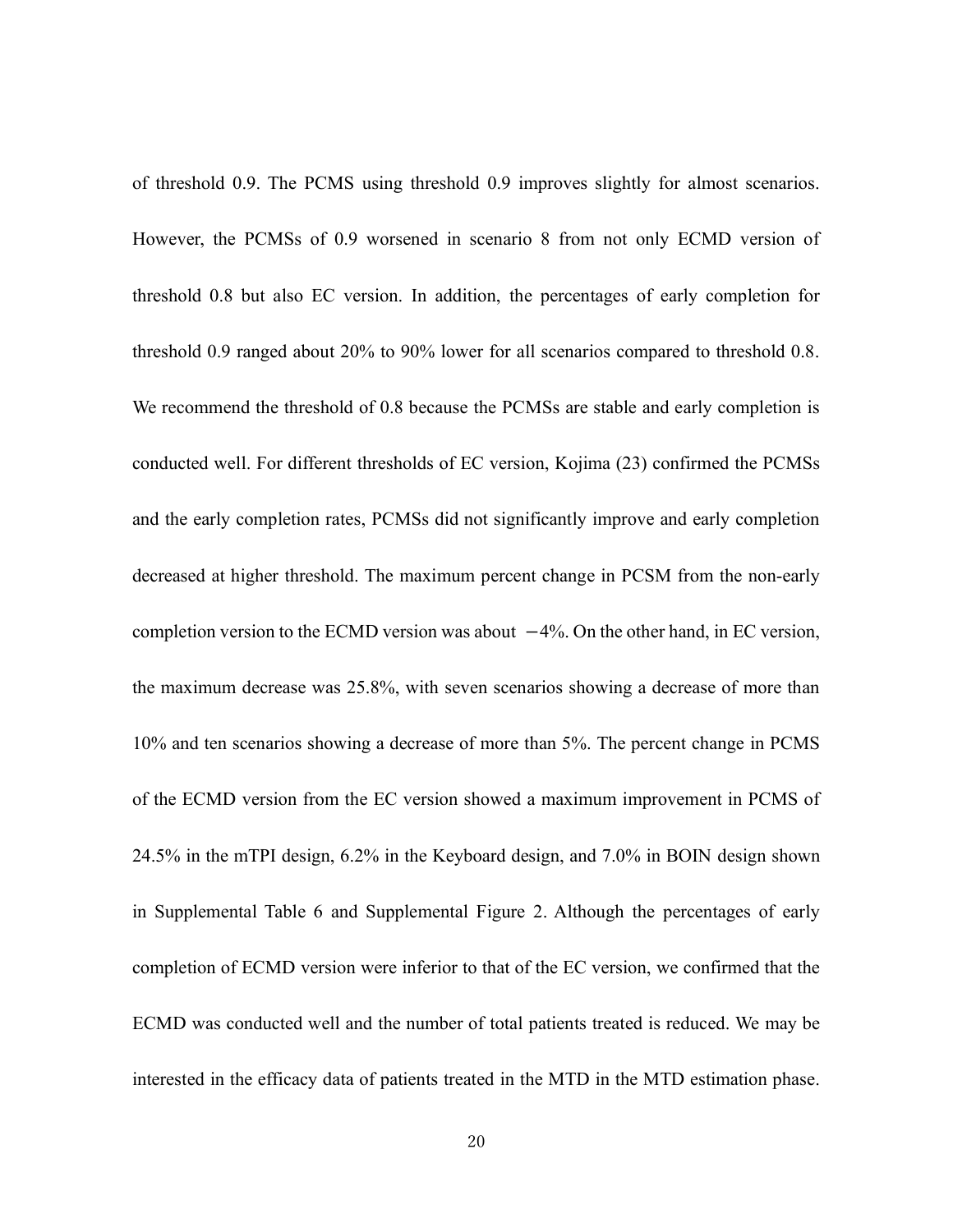of threshold 0.9. The PCMS using threshold 0.9 improves slightly for almost scenarios. However, the PCMSs of 0.9 worsened in scenario 8 from not only ECMD version of threshold 0.8 but also EC version. In addition, the percentages of early completion for threshold 0.9 ranged about 20% to 90% lower for all scenarios compared to threshold 0.8. We recommend the threshold of 0.8 because the PCMSs are stable and early completion is conducted well. For different thresholds of EC version, Kojima [\(23\)](#page-25-4) confirmed the PCMSs and the early completion rates, PCMSs did not significantly improve and early completion decreased at higher threshold. The maximum percent change in PCSM from the non-early completion version to the ECMD version was about −4%. On the other hand, in EC version, the maximum decrease was 25.8%, with seven scenarios showing a decrease of more than 10% and ten scenarios showing a decrease of more than 5%. The percent change in PCMS of the ECMD version from the EC version showed a maximum improvement in PCMS of 24.5% in the mTPI design, 6.2% in the Keyboard design, and 7.0% in BOIN design shown in Supplemental Table 6 and Supplemental Figure 2. Although the percentages of early completion of ECMD version were inferior to that of the EC version, we confirmed that the ECMD was conducted well and the number of total patients treated is reduced. We may be interested in the efficacy data of patients treated in the MTD in the MTD estimation phase.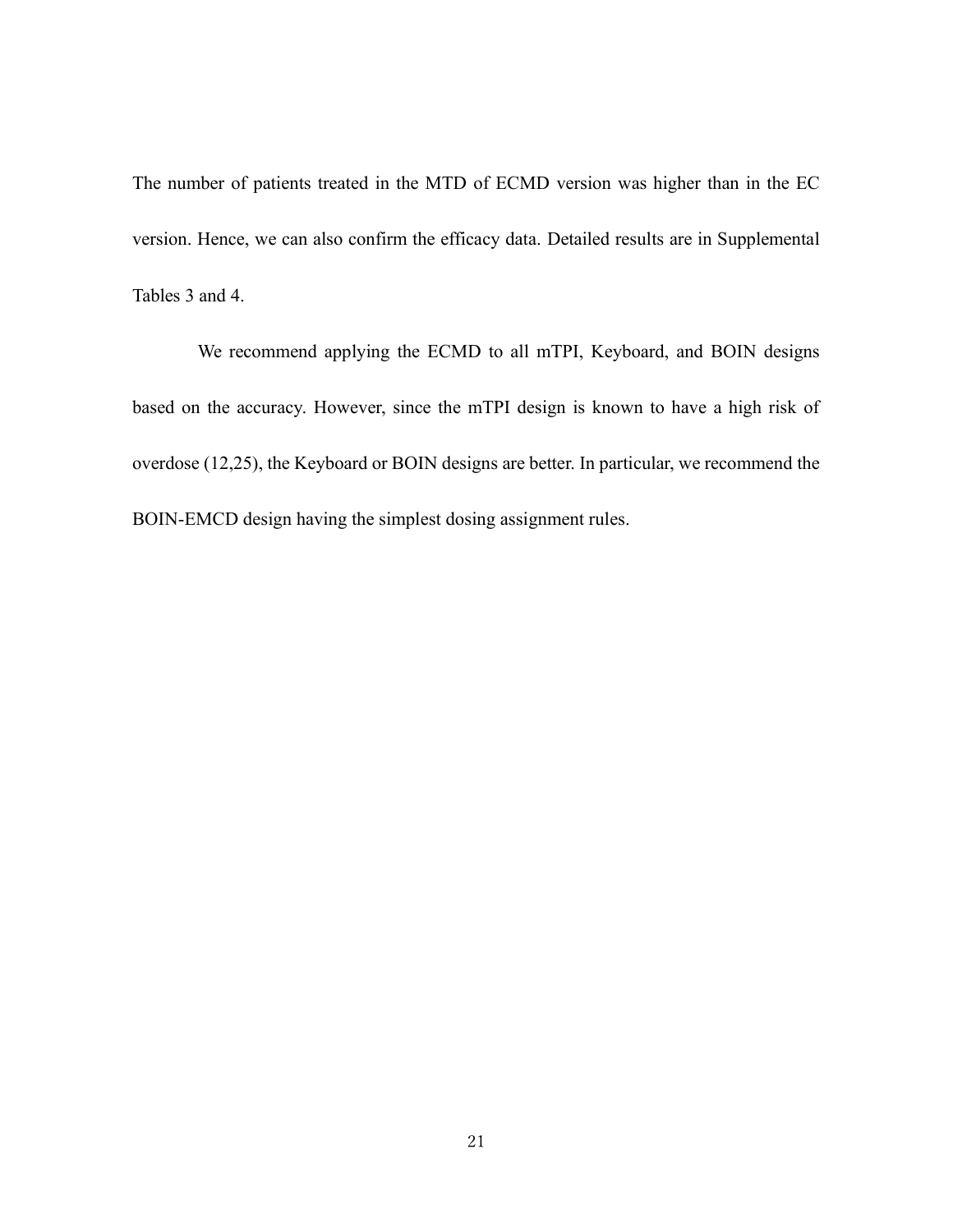The number of patients treated in the MTD of ECMD version was higher than in the EC version. Hence, we can also confirm the efficacy data. Detailed results are in Supplemental Tables 3 and 4.

We recommend applying the ECMD to all mTPI, Keyboard, and BOIN designs based on the accuracy. However, since the mTPI design is known to have a high risk of overdose [\(12](#page-24-0)[,25\)](#page-25-6), the Keyboard or BOIN designs are better. In particular, we recommend the BOIN-EMCD design having the simplest dosing assignment rules.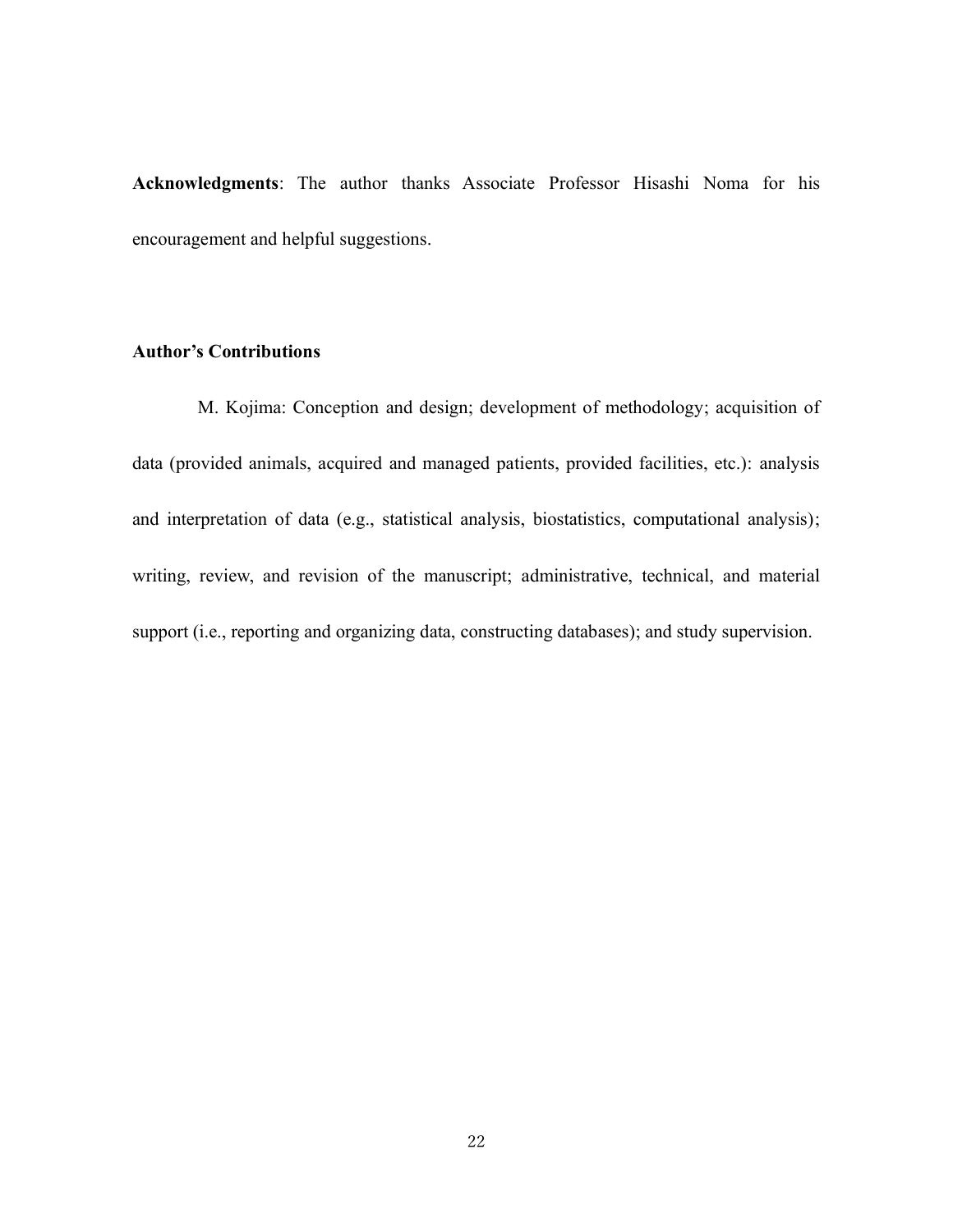**Acknowledgments**: The author thanks Associate Professor Hisashi Noma for his encouragement and helpful suggestions.

#### **Author's Contributions**

M. Kojima: Conception and design; development of methodology; acquisition of data (provided animals, acquired and managed patients, provided facilities, etc.): analysis and interpretation of data (e.g., statistical analysis, biostatistics, computational analysis); writing, review, and revision of the manuscript; administrative, technical, and material support (i.e., reporting and organizing data, constructing databases); and study supervision.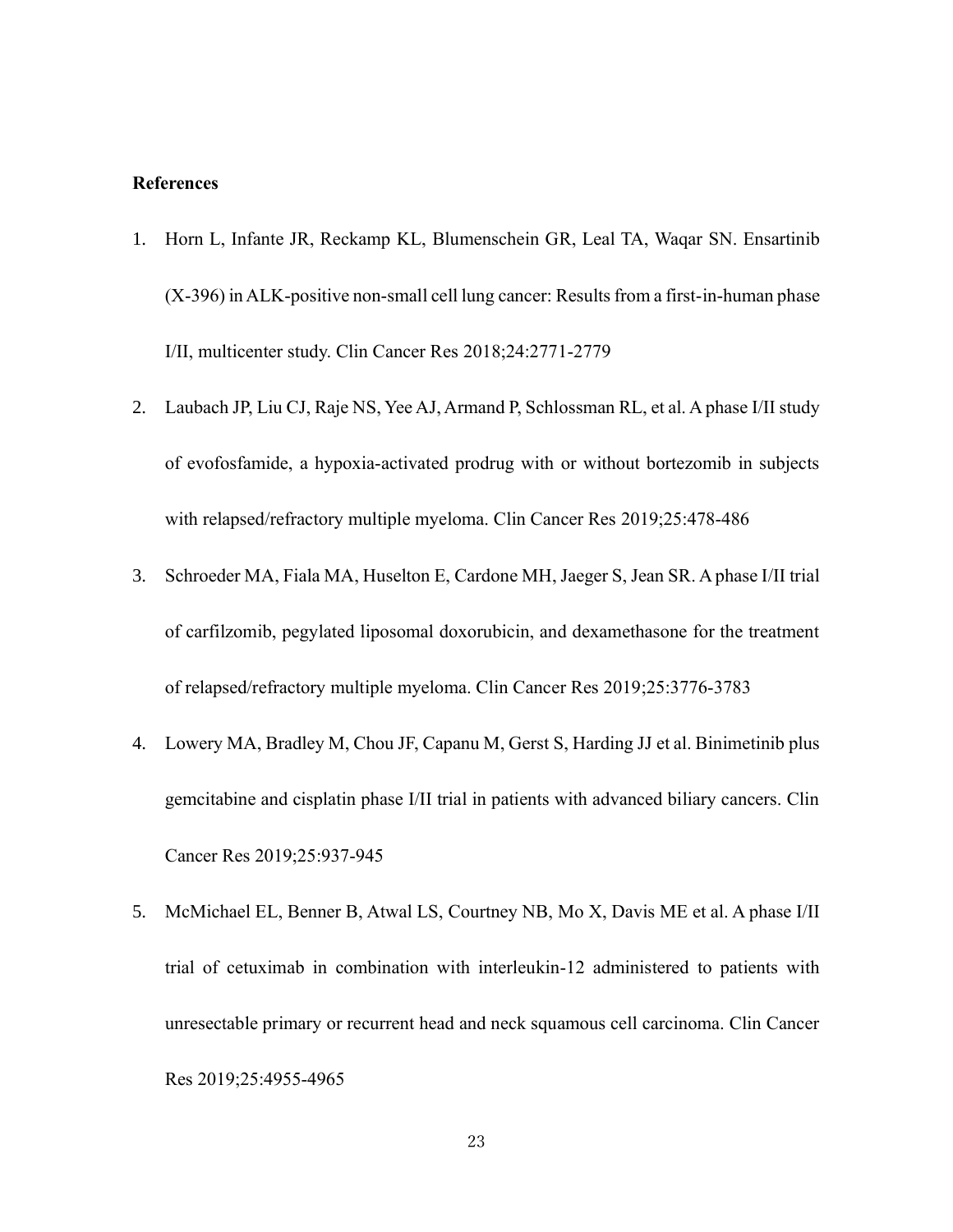#### **References**

- <span id="page-22-0"></span>1. Horn L, Infante JR, Reckamp KL, Blumenschein GR, Leal TA, Waqar SN. Ensartinib (X-396) in ALK-positive non-small cell lung cancer: Results from a first-in-human phase I/II, multicenter study. Clin Cancer Res 2018;24:2771-2779
- <span id="page-22-1"></span>2. Laubach JP, Liu CJ, Raje NS, Yee AJ, Armand P, Schlossman RL, et al. A phase I/II study of evofosfamide, a hypoxia-activated prodrug with or without bortezomib in subjects with relapsed/refractory multiple myeloma. Clin Cancer Res 2019;25:478-486
- <span id="page-22-2"></span>3. Schroeder MA, Fiala MA, Huselton E, Cardone MH, Jaeger S, Jean SR. A phase I/II trial of carfilzomib, pegylated liposomal doxorubicin, and dexamethasone for the treatment of relapsed/refractory multiple myeloma. Clin Cancer Res 2019;25:3776-3783
- <span id="page-22-3"></span>4. Lowery MA, Bradley M, Chou JF, Capanu M, Gerst S, Harding JJ et al. Binimetinib plus gemcitabine and cisplatin phase I/II trial in patients with advanced biliary cancers. Clin Cancer Res 2019;25:937-945
- <span id="page-22-4"></span>5. McMichael EL, Benner B, Atwal LS, Courtney NB, Mo X, Davis ME et al. A phase I/II trial of cetuximab in combination with interleukin-12 administered to patients with unresectable primary or recurrent head and neck squamous cell carcinoma. Clin Cancer Res 2019;25:4955-4965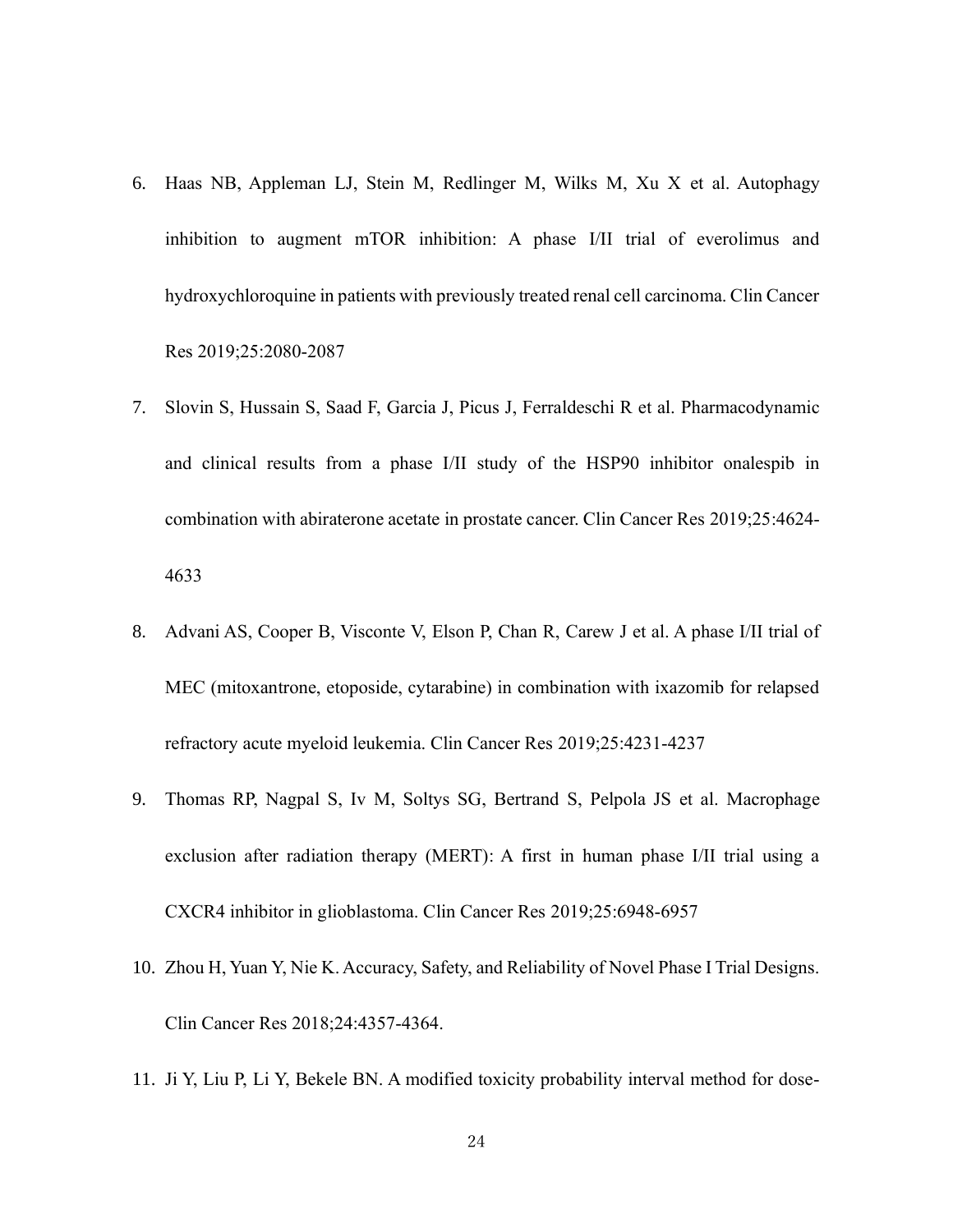- <span id="page-23-0"></span>6. Haas NB, Appleman LJ, Stein M, Redlinger M, Wilks M, Xu X et al. Autophagy inhibition to augment mTOR inhibition: A phase I/II trial of everolimus and hydroxychloroquine in patients with previously treated renal cell carcinoma. Clin Cancer Res 2019;25:2080-2087
- <span id="page-23-1"></span>7. Slovin S, Hussain S, Saad F, Garcia J, Picus J, Ferraldeschi R et al. Pharmacodynamic and clinical results from a phase I/II study of the HSP90 inhibitor onalespib in combination with abiraterone acetate in prostate cancer. Clin Cancer Res 2019;25:4624- 4633
- <span id="page-23-2"></span>8. Advani AS, Cooper B, Visconte V, Elson P, Chan R, Carew J et al. A phase I/II trial of MEC (mitoxantrone, etoposide, cytarabine) in combination with ixazomib for relapsed refractory acute myeloid leukemia. Clin Cancer Res 2019;25:4231-4237
- <span id="page-23-3"></span>9. Thomas RP, Nagpal S, Iv M, Soltys SG, Bertrand S, Pelpola JS et al. Macrophage exclusion after radiation therapy (MERT): A first in human phase I/II trial using a CXCR4 inhibitor in glioblastoma. Clin Cancer Res 2019;25:6948-6957
- <span id="page-23-4"></span>10. Zhou H, Yuan Y, Nie K. Accuracy, Safety, and Reliability of Novel Phase I Trial Designs. Clin Cancer Res 2018;24:4357-4364.
- <span id="page-23-5"></span>11. Ji Y, Liu P, Li Y, Bekele BN. A modified toxicity probability interval method for dose-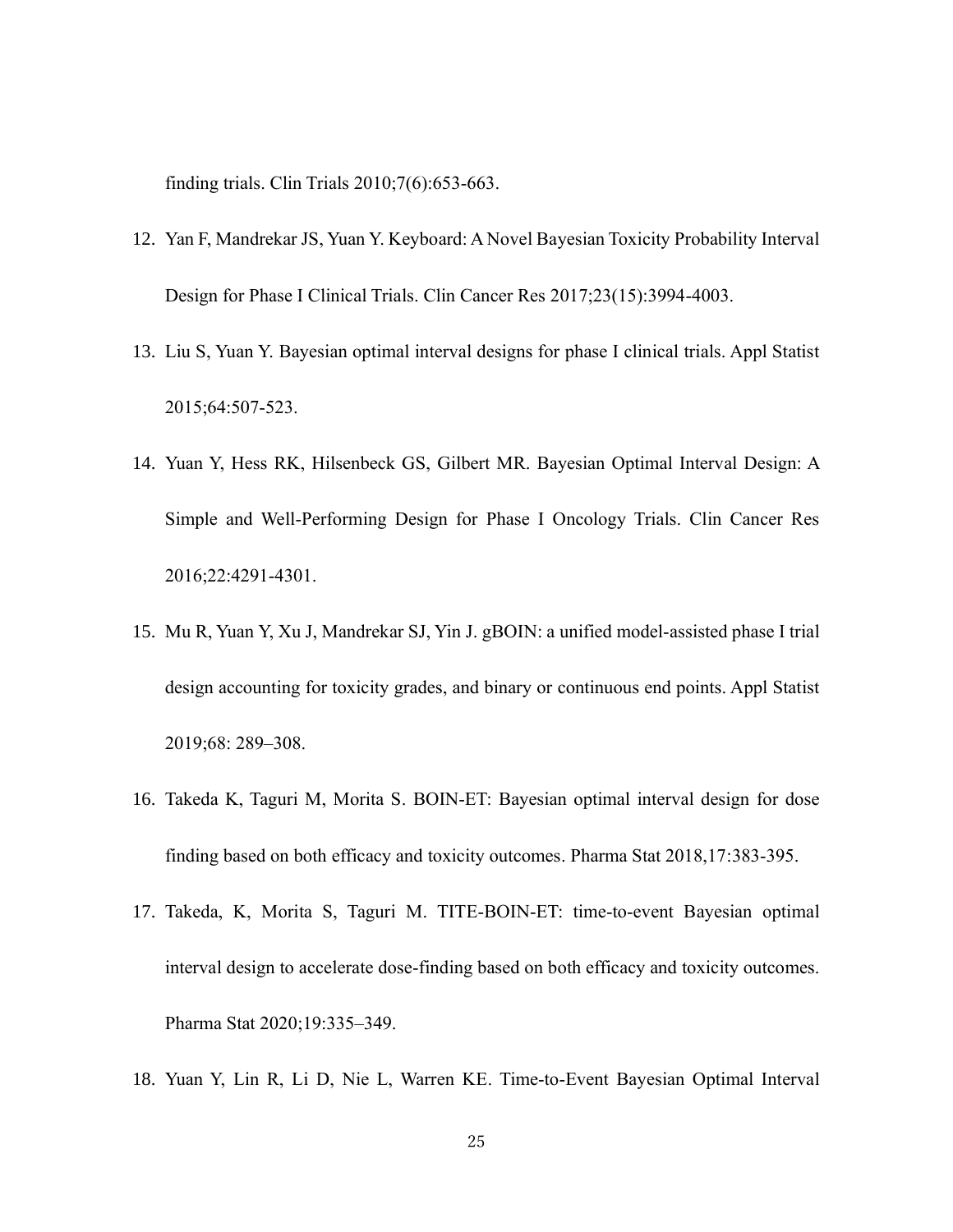finding trials. Clin Trials 2010;7(6):653-663.

- <span id="page-24-0"></span>12. Yan F, Mandrekar JS, Yuan Y. Keyboard: A Novel Bayesian Toxicity Probability Interval Design for Phase I Clinical Trials. Clin Cancer Res 2017;23(15):3994-4003.
- <span id="page-24-1"></span>13. Liu S, Yuan Y. Bayesian optimal interval designs for phase I clinical trials. Appl Statist 2015;64:507-523.
- <span id="page-24-2"></span>14. Yuan Y, Hess RK, Hilsenbeck GS, Gilbert MR. Bayesian Optimal Interval Design: A Simple and Well-Performing Design for Phase I Oncology Trials. Clin Cancer Res 2016;22:4291-4301.
- <span id="page-24-3"></span>15. Mu R, Yuan Y, Xu J, Mandrekar SJ, Yin J. gBOIN: a unified model-assisted phase I trial design accounting for toxicity grades, and binary or continuous end points. Appl Statist 2019;68: 289–308.
- <span id="page-24-4"></span>16. Takeda K, Taguri M, Morita S. BOIN‐ET: Bayesian optimal interval design for dose finding based on both efficacy and toxicity outcomes. Pharma Stat 2018,17:383-395.
- <span id="page-24-5"></span>17. Takeda, K, Morita S, Taguri M. TITE-BOIN-ET: time-to-event Bayesian optimal interval design to accelerate dose-finding based on both efficacy and toxicity outcomes. Pharma Stat 2020;19:335–349.
- <span id="page-24-6"></span>18. Yuan Y, Lin R, Li D, Nie L, Warren KE. Time-to-Event Bayesian Optimal Interval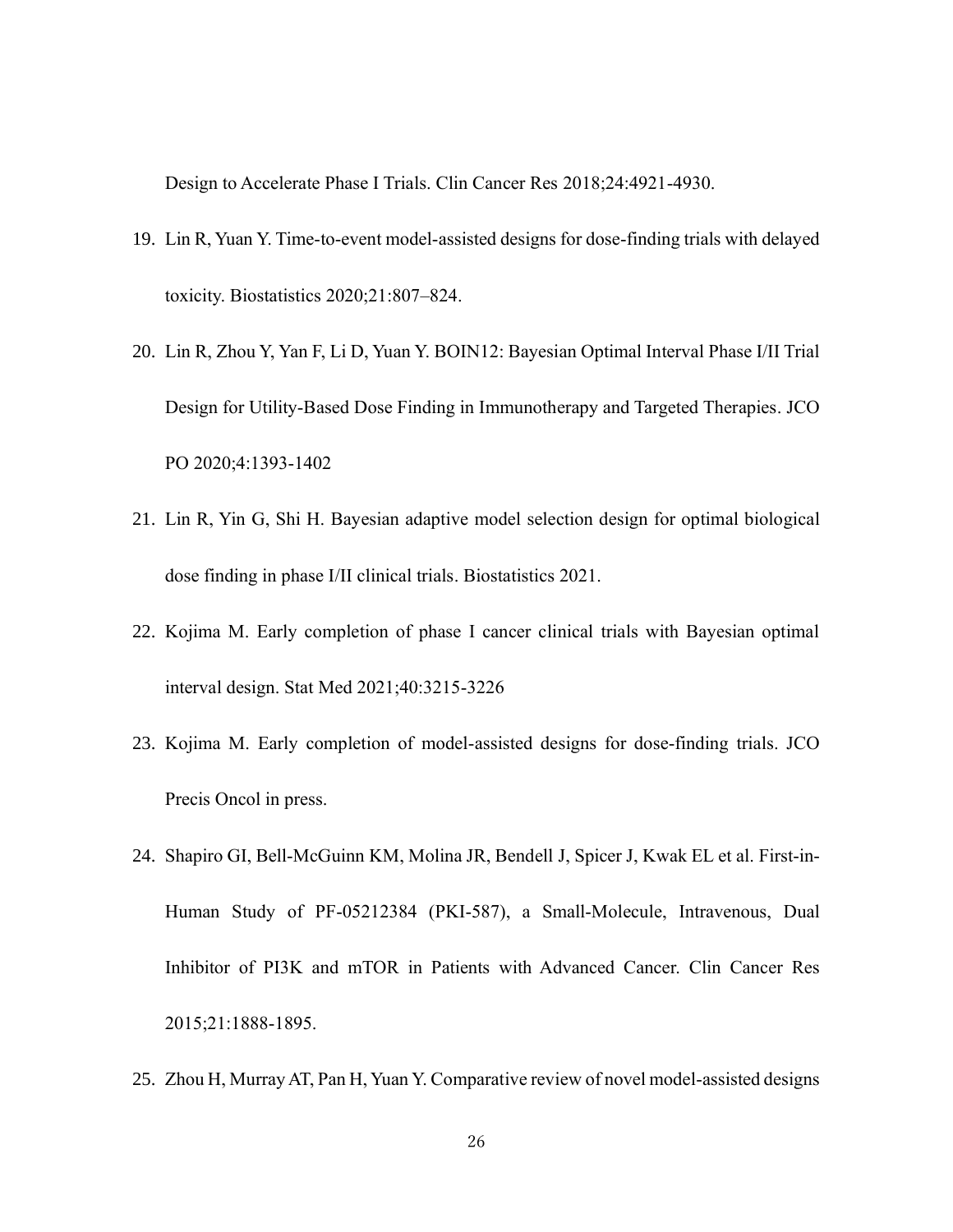Design to Accelerate Phase I Trials. Clin Cancer Res 2018;24:4921-4930.

- <span id="page-25-0"></span>19. Lin R, Yuan Y. Time-to-event model-assisted designs for dose-finding trials with delayed toxicity. Biostatistics 2020;21:807–824.
- <span id="page-25-1"></span>20. Lin R, Zhou Y, Yan F, Li D, Yuan Y. BOIN12: Bayesian Optimal Interval Phase I/II Trial Design for Utility-Based Dose Finding in Immunotherapy and Targeted Therapies. JCO PO 2020;4:1393-1402
- <span id="page-25-2"></span>21. Lin R, Yin G, Shi H. Bayesian adaptive model selection design for optimal biological dose finding in phase I/II clinical trials. Biostatistics 2021.
- <span id="page-25-3"></span>22. Kojima M. Early completion of phase I cancer clinical trials with Bayesian optimal interval design. Stat Med 2021;40:3215-3226
- <span id="page-25-4"></span>23. Kojima M. Early completion of model-assisted designs for dose-finding trials. JCO Precis Oncol in press.
- <span id="page-25-5"></span>24. Shapiro GI, Bell-McGuinn KM, Molina JR, Bendell J, Spicer J, Kwak EL et al. First-in-Human Study of PF-05212384 (PKI-587), a Small-Molecule, Intravenous, Dual Inhibitor of PI3K and mTOR in Patients with Advanced Cancer. Clin Cancer Res 2015;21:1888-1895.
- <span id="page-25-6"></span>25. Zhou H, Murray AT, Pan H, Yuan Y. Comparative review of novel model-assisted designs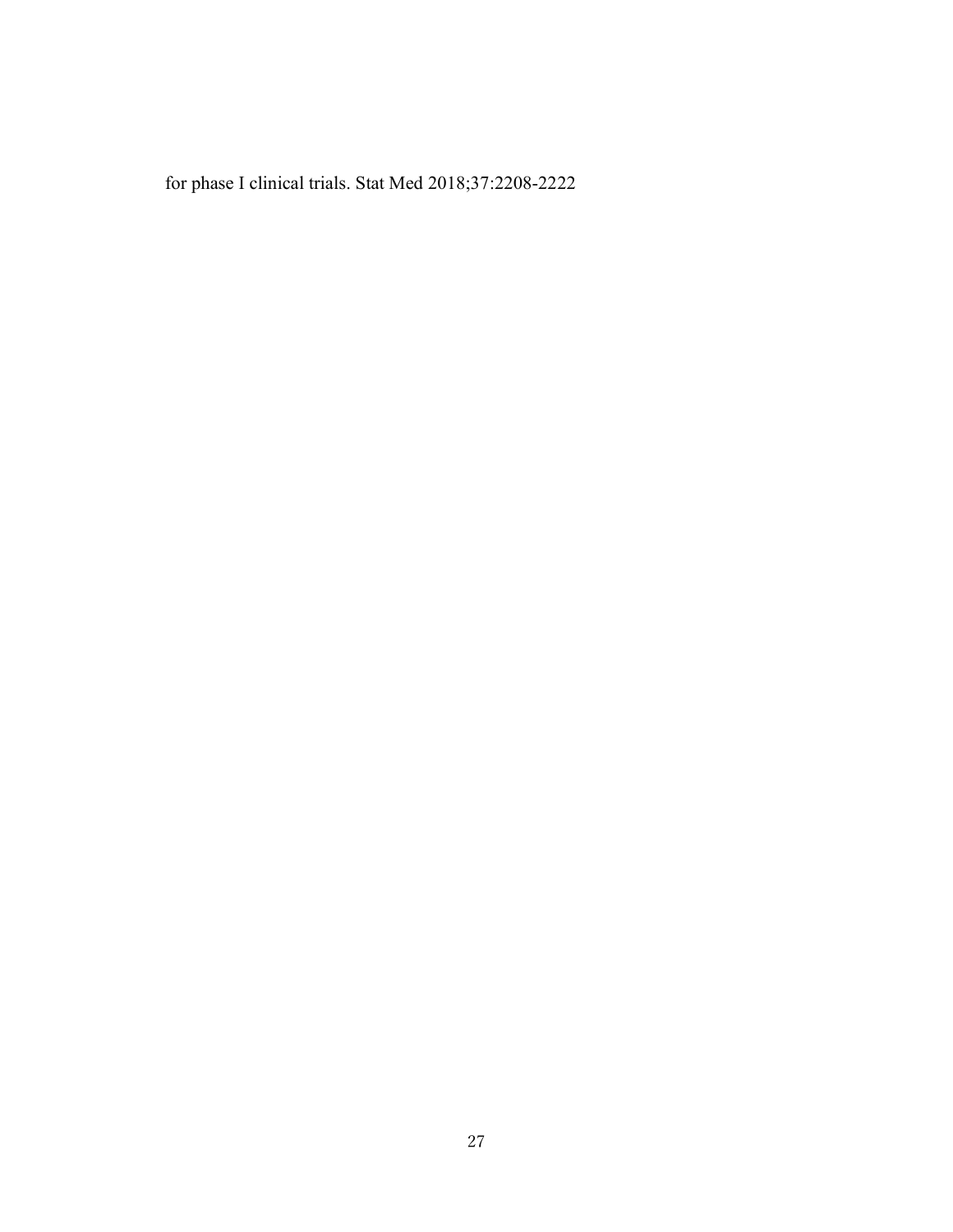for phase I clinical trials. Stat Med 2018;37:2208-2222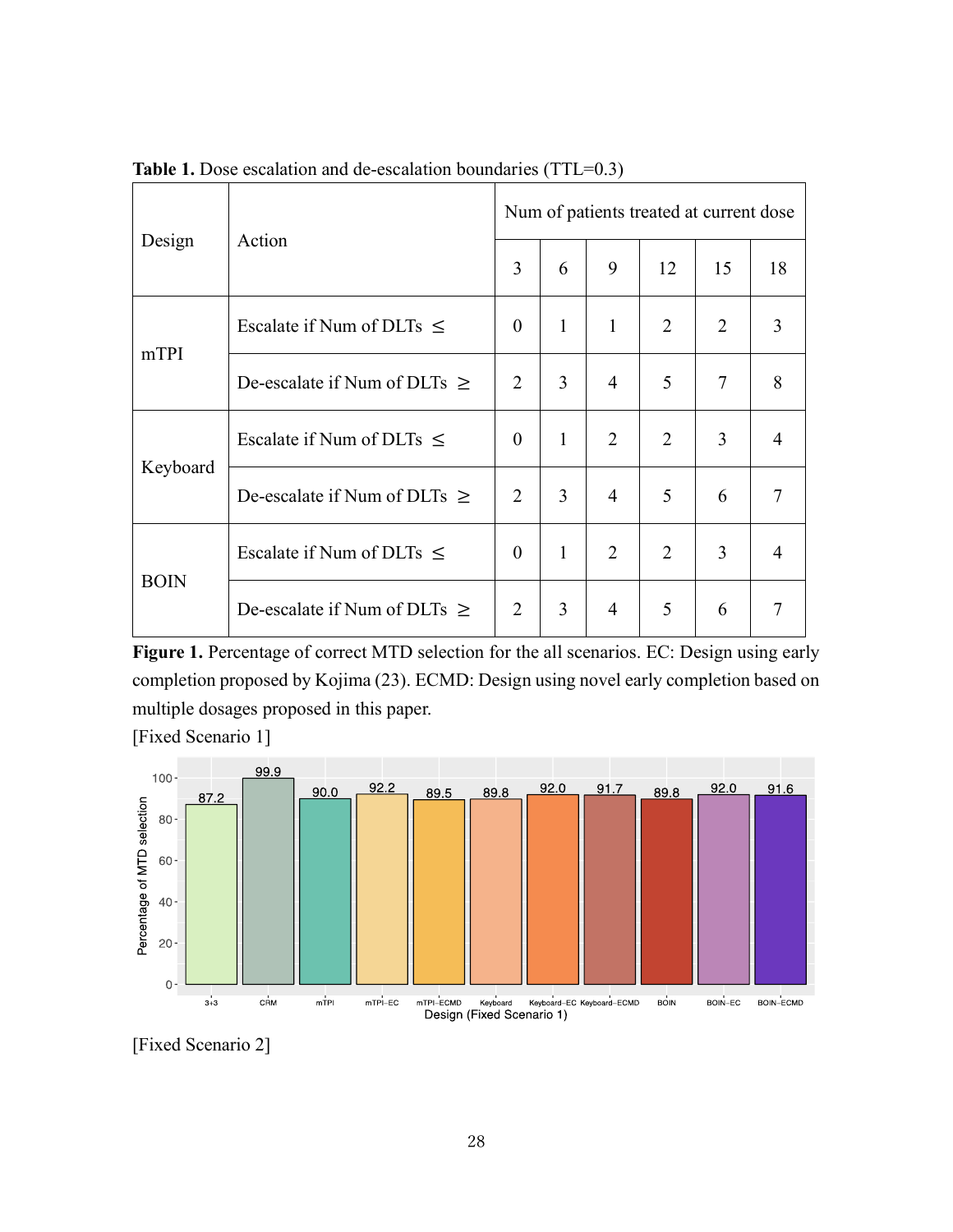| Design      | Action                            | Num of patients treated at current dose |                |                |                |                |                |
|-------------|-----------------------------------|-----------------------------------------|----------------|----------------|----------------|----------------|----------------|
|             |                                   | 3                                       | 6              | 9              | 12             | 15             | 18             |
| mTPI        | Escalate if Num of DLTs $\leq$    | $\Omega$                                | $\mathbf{1}$   | $\mathbf{1}$   | $\overline{2}$ | $\overline{2}$ | 3              |
|             | De-escalate if Num of DLTs $\geq$ | $\overline{2}$                          | $\overline{3}$ | $\overline{4}$ | 5              | 7              | 8              |
| Keyboard    | Escalate if Num of DLTs $\leq$    | $\theta$                                | $\mathbf{1}$   | $\overline{2}$ | $\overline{2}$ | 3              | 4              |
|             | De-escalate if Num of DLTs $\geq$ | $\overline{2}$                          | 3              | 4              | 5              | 6              | 7              |
| <b>BOIN</b> | Escalate if Num of DLTs $\leq$    | $\theta$                                | $\mathbf{1}$   | $\overline{2}$ | $\overline{2}$ | 3              | 4              |
|             | De-escalate if Num of DLTs $\geq$ | $\overline{2}$                          | 3              | 4              | 5              | 6              | $\overline{7}$ |

**Table 1.** Dose escalation and de-escalation boundaries (TTL=0.3)

<span id="page-27-0"></span>**Figure 1.** Percentage of correct MTD selection for the all scenarios. EC: Design using early completion proposed by Kojima [\(23\)](#page-25-4). ECMD: Design using novel early completion based on multiple dosages proposed in this paper.

[Fixed Scenario 1]



[Fixed Scenario 2]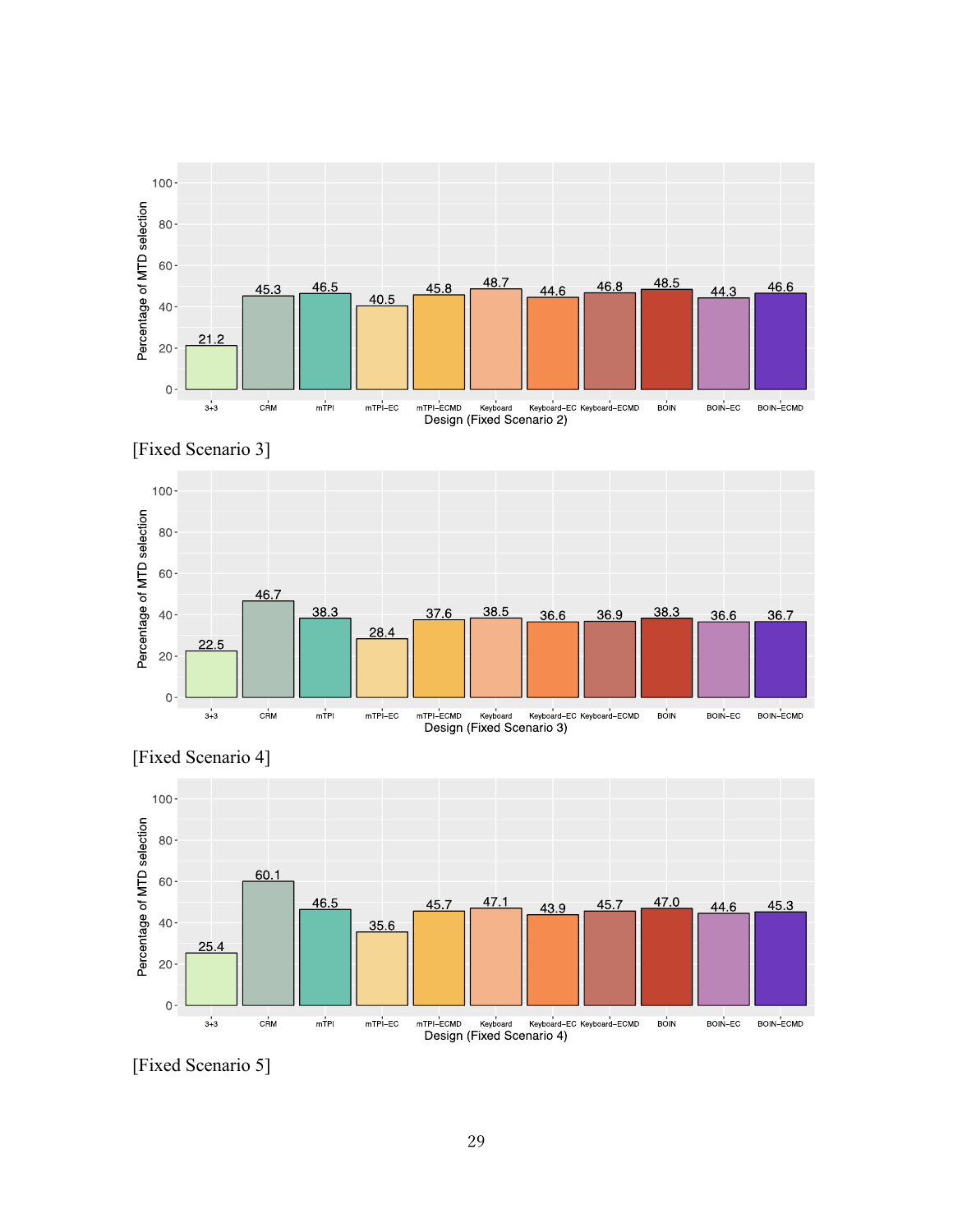





[Fixed Scenario 4]

[Fixed Scenario 5]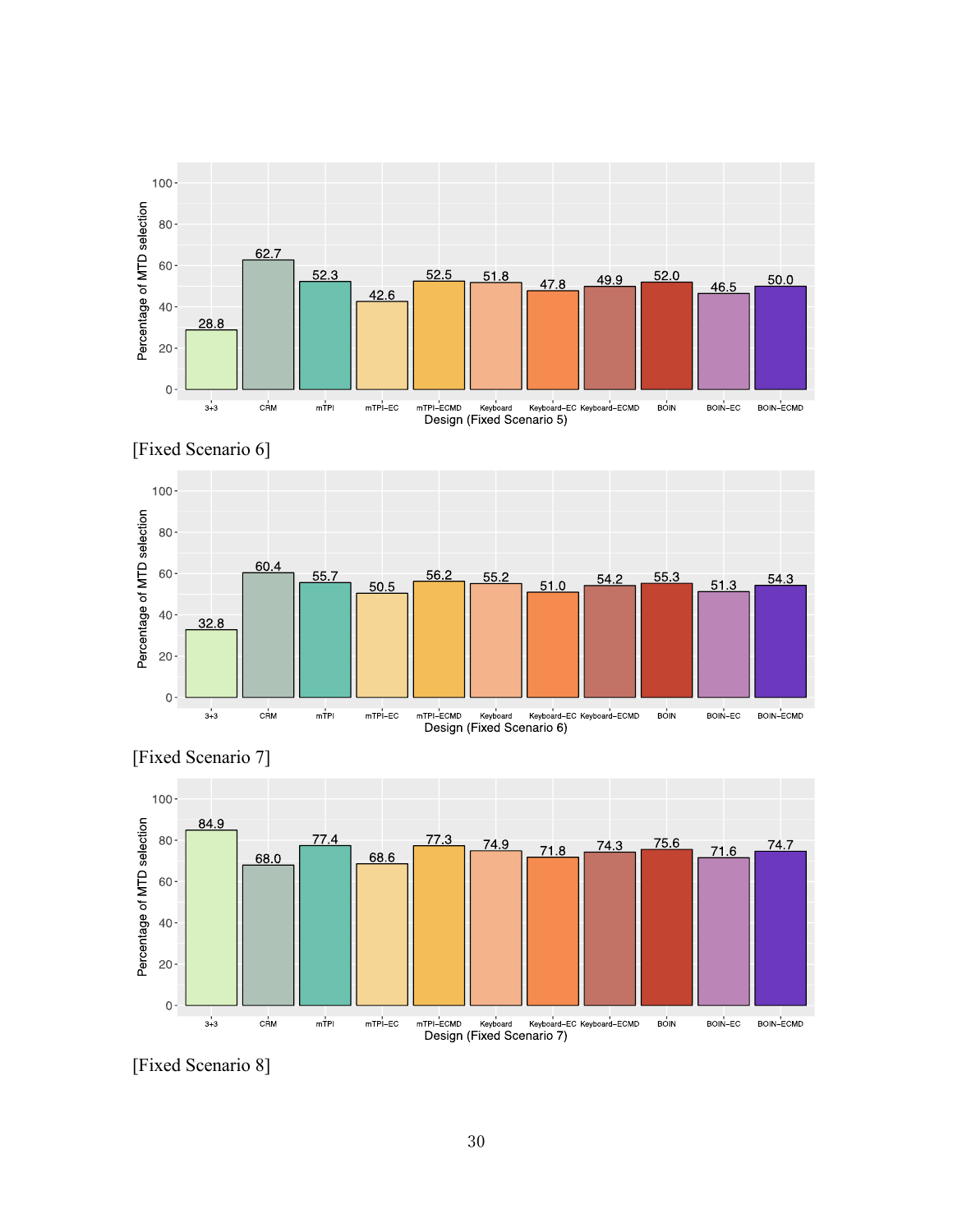





[Fixed Scenario 7]

[Fixed Scenario 8]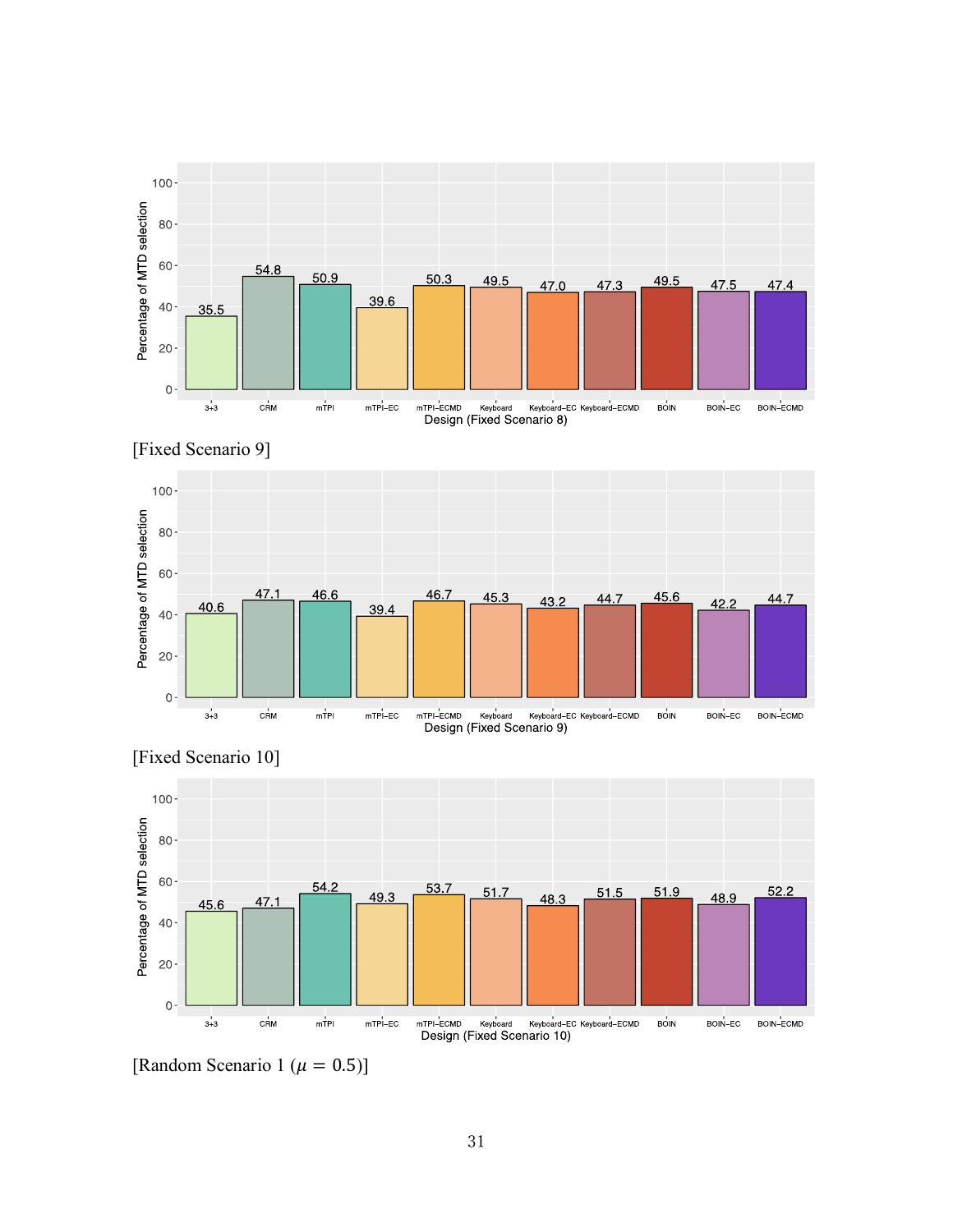





[Fixed Scenario 10]

[Random Scenario 1 ( $\mu = 0.5$ )]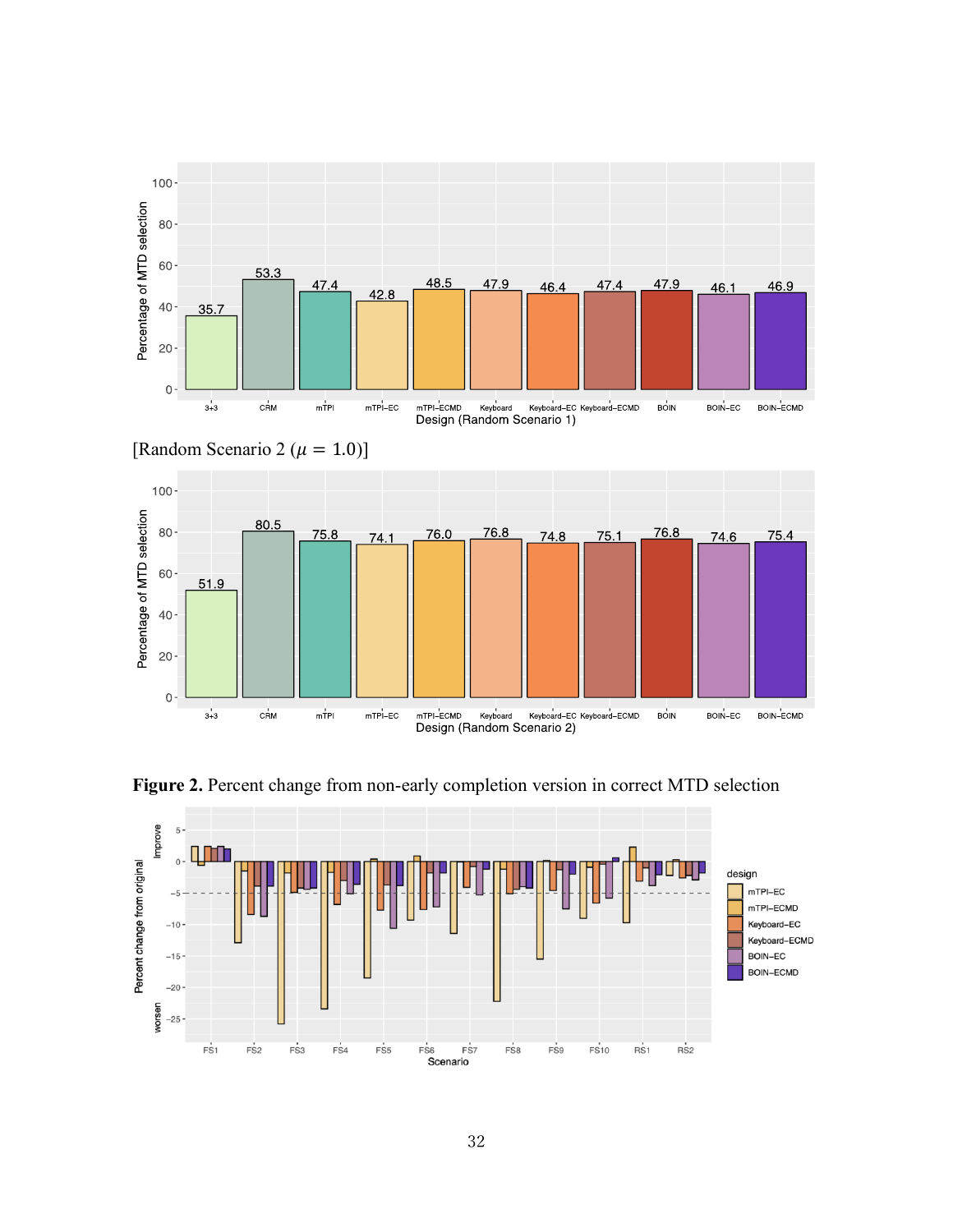



<span id="page-31-0"></span>**Figure 2.** Percent change from non-early completion version in correct MTD selection